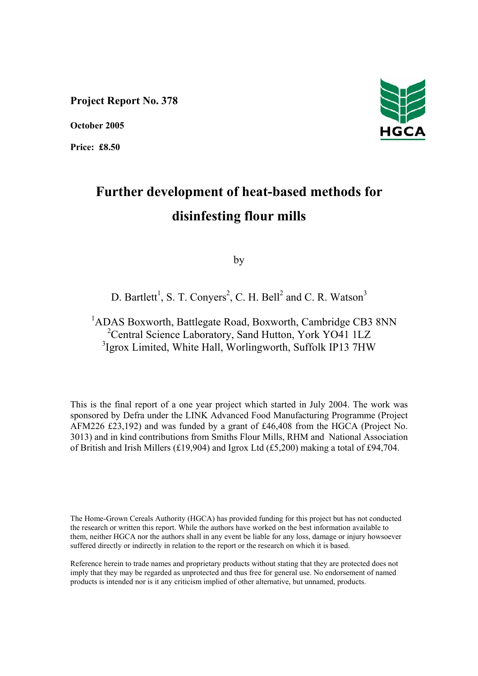**Project Report No. 378** 

**October 2005** 

**Price: £8.50** 



# **Further development of heat-based methods for disinfesting flour mills**

by

# D. Bartlett<sup>1</sup>, S. T. Conyers<sup>2</sup>, C. H. Bell<sup>2</sup> and C. R. Watson<sup>3</sup>

<sup>1</sup>ADAS Boxworth, Battlegate Road, Boxworth, Cambridge CB3 8NN <sup>2</sup> Central Science Laboratory, Sand Hutton, York YO41 1LZ <sup>3</sup>Igrox Limited, White Hall, Worlingworth, Suffolk IP13 7HW

This is the final report of a one year project which started in July 2004. The work was sponsored by Defra under the LINK Advanced Food Manufacturing Programme (Project AFM226 £23,192) and was funded by a grant of £46,408 from the HGCA (Project No. 3013) and in kind contributions from Smiths Flour Mills, RHM and National Association of British and Irish Millers (£19,904) and Igrox Ltd (£5,200) making a total of £94,704.

The Home-Grown Cereals Authority (HGCA) has provided funding for this project but has not conducted the research or written this report. While the authors have worked on the best information available to them, neither HGCA nor the authors shall in any event be liable for any loss, damage or injury howsoever suffered directly or indirectly in relation to the report or the research on which it is based.

Reference herein to trade names and proprietary products without stating that they are protected does not imply that they may be regarded as unprotected and thus free for general use. No endorsement of named products is intended nor is it any criticism implied of other alternative, but unnamed, products.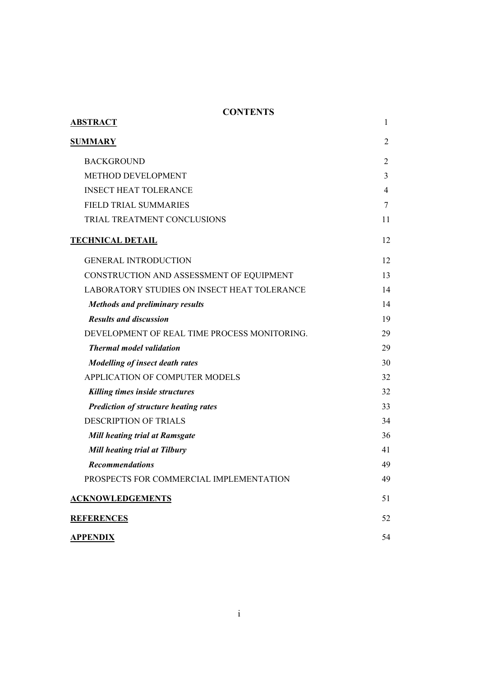# **CONTENTS**

| <b>ABSTRACT</b>                              | 1              |
|----------------------------------------------|----------------|
| <b>SUMMARY</b>                               | 2              |
| <b>BACKGROUND</b>                            | 2              |
| METHOD DEVELOPMENT                           | 3              |
| <b>INSECT HEAT TOLERANCE</b>                 | $\overline{4}$ |
| <b>FIELD TRIAL SUMMARIES</b>                 | 7              |
| TRIAL TREATMENT CONCLUSIONS                  | 11             |
| <b>TECHNICAL DETAIL</b>                      | 12             |
| <b>GENERAL INTRODUCTION</b>                  | 12             |
| CONSTRUCTION AND ASSESSMENT OF EQUIPMENT     | 13             |
| LABORATORY STUDIES ON INSECT HEAT TOLERANCE  | 14             |
| <b>Methods and preliminary results</b>       | 14             |
| <b>Results and discussion</b>                | 19             |
| DEVELOPMENT OF REAL TIME PROCESS MONITORING. | 29             |
| <b>Thermal model validation</b>              | 29             |
| <b>Modelling of insect death rates</b>       | 30             |
| APPLICATION OF COMPUTER MODELS               | 32             |
| Killing times inside structures              | 32             |
| <b>Prediction of structure heating rates</b> | 33             |
| <b>DESCRIPTION OF TRIALS</b>                 | 34             |
| <b>Mill heating trial at Ramsgate</b>        | 36             |
| <b>Mill heating trial at Tilbury</b>         | 41             |
| <b>Recommendations</b>                       | 49             |
| PROSPECTS FOR COMMERCIAL IMPLEMENTATION      | 49             |
| <b>ACKNOWLEDGEMENTS</b>                      | 51             |
| <b>REFERENCES</b>                            | 52             |
| <b>APPENDIX</b>                              | 54             |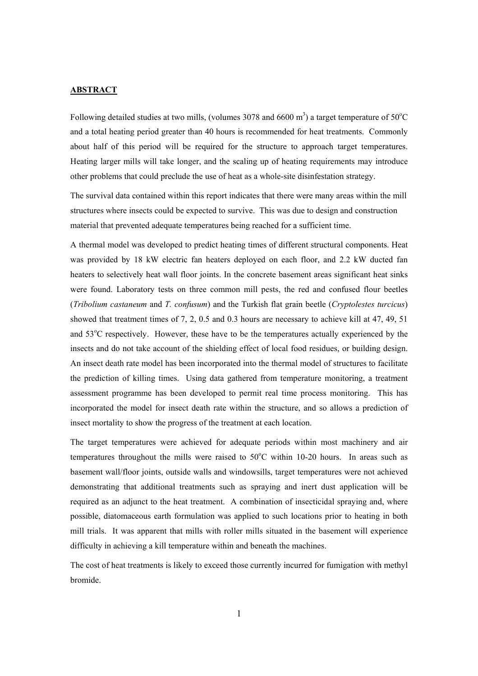#### **ABSTRACT**

Following detailed studies at two mills, (volumes 3078 and 6600 m<sup>3</sup>) a target temperature of 50°C and a total heating period greater than 40 hours is recommended for heat treatments. Commonly about half of this period will be required for the structure to approach target temperatures. Heating larger mills will take longer, and the scaling up of heating requirements may introduce other problems that could preclude the use of heat as a whole-site disinfestation strategy.

The survival data contained within this report indicates that there were many areas within the mill structures where insects could be expected to survive. This was due to design and construction material that prevented adequate temperatures being reached for a sufficient time.

A thermal model was developed to predict heating times of different structural components. Heat was provided by 18 kW electric fan heaters deployed on each floor, and 2.2 kW ducted fan heaters to selectively heat wall floor joints. In the concrete basement areas significant heat sinks were found. Laboratory tests on three common mill pests, the red and confused flour beetles (*Tribolium castaneum* and *T. confusum*) and the Turkish flat grain beetle (*Cryptolestes turcicus*) showed that treatment times of 7, 2, 0.5 and 0.3 hours are necessary to achieve kill at 47, 49, 51 and 53°C respectively. However, these have to be the temperatures actually experienced by the insects and do not take account of the shielding effect of local food residues, or building design. An insect death rate model has been incorporated into the thermal model of structures to facilitate the prediction of killing times. Using data gathered from temperature monitoring, a treatment assessment programme has been developed to permit real time process monitoring. This has incorporated the model for insect death rate within the structure, and so allows a prediction of insect mortality to show the progress of the treatment at each location.

The target temperatures were achieved for adequate periods within most machinery and air temperatures throughout the mills were raised to  $50^{\circ}$ C within 10-20 hours. In areas such as basement wall/floor joints, outside walls and windowsills, target temperatures were not achieved demonstrating that additional treatments such as spraying and inert dust application will be required as an adjunct to the heat treatment. A combination of insecticidal spraying and, where possible, diatomaceous earth formulation was applied to such locations prior to heating in both mill trials. It was apparent that mills with roller mills situated in the basement will experience difficulty in achieving a kill temperature within and beneath the machines.

The cost of heat treatments is likely to exceed those currently incurred for fumigation with methyl bromide.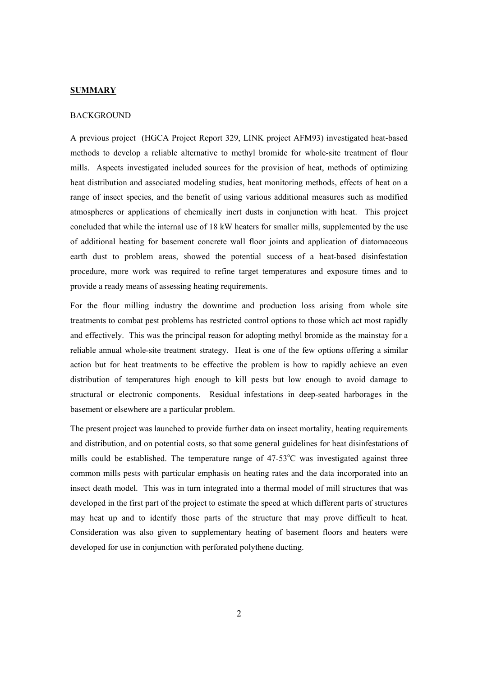#### **SUMMARY**

#### BACKGROUND

A previous project (HGCA Project Report 329, LINK project AFM93) investigated heat-based methods to develop a reliable alternative to methyl bromide for whole-site treatment of flour mills. Aspects investigated included sources for the provision of heat, methods of optimizing heat distribution and associated modeling studies, heat monitoring methods, effects of heat on a range of insect species, and the benefit of using various additional measures such as modified atmospheres or applications of chemically inert dusts in conjunction with heat. This project concluded that while the internal use of 18 kW heaters for smaller mills, supplemented by the use of additional heating for basement concrete wall floor joints and application of diatomaceous earth dust to problem areas, showed the potential success of a heat-based disinfestation procedure, more work was required to refine target temperatures and exposure times and to provide a ready means of assessing heating requirements.

For the flour milling industry the downtime and production loss arising from whole site treatments to combat pest problems has restricted control options to those which act most rapidly and effectively. This was the principal reason for adopting methyl bromide as the mainstay for a reliable annual whole-site treatment strategy. Heat is one of the few options offering a similar action but for heat treatments to be effective the problem is how to rapidly achieve an even distribution of temperatures high enough to kill pests but low enough to avoid damage to structural or electronic components. Residual infestations in deep-seated harborages in the basement or elsewhere are a particular problem.

The present project was launched to provide further data on insect mortality, heating requirements and distribution, and on potential costs, so that some general guidelines for heat disinfestations of mills could be established. The temperature range of  $47-53^{\circ}$ C was investigated against three common mills pests with particular emphasis on heating rates and the data incorporated into an insect death model. This was in turn integrated into a thermal model of mill structures that was developed in the first part of the project to estimate the speed at which different parts of structures may heat up and to identify those parts of the structure that may prove difficult to heat. Consideration was also given to supplementary heating of basement floors and heaters were developed for use in conjunction with perforated polythene ducting.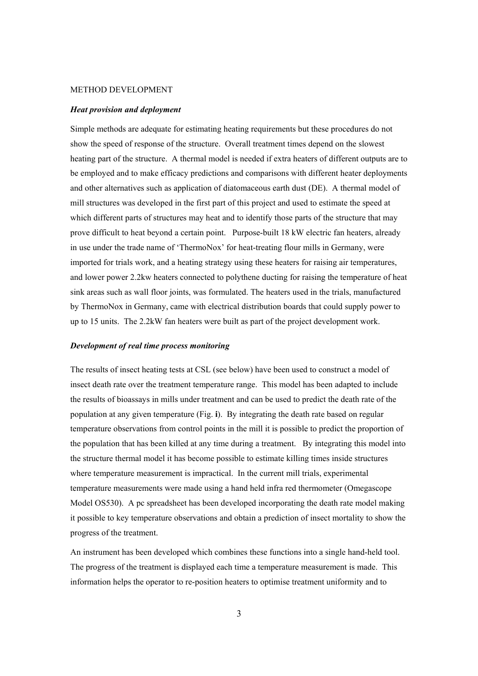#### METHOD DEVELOPMENT

#### *Heat provision and deployment*

Simple methods are adequate for estimating heating requirements but these procedures do not show the speed of response of the structure. Overall treatment times depend on the slowest heating part of the structure. A thermal model is needed if extra heaters of different outputs are to be employed and to make efficacy predictions and comparisons with different heater deployments and other alternatives such as application of diatomaceous earth dust (DE). A thermal model of mill structures was developed in the first part of this project and used to estimate the speed at which different parts of structures may heat and to identify those parts of the structure that may prove difficult to heat beyond a certain point. Purpose-built 18 kW electric fan heaters, already in use under the trade name of 'ThermoNox' for heat-treating flour mills in Germany, were imported for trials work, and a heating strategy using these heaters for raising air temperatures, and lower power 2.2kw heaters connected to polythene ducting for raising the temperature of heat sink areas such as wall floor joints, was formulated. The heaters used in the trials, manufactured by ThermoNox in Germany, came with electrical distribution boards that could supply power to up to 15 units. The 2.2kW fan heaters were built as part of the project development work.

#### *Development of real time process monitoring*

The results of insect heating tests at CSL (see below) have been used to construct a model of insect death rate over the treatment temperature range. This model has been adapted to include the results of bioassays in mills under treatment and can be used to predict the death rate of the population at any given temperature (Fig. **i**). By integrating the death rate based on regular temperature observations from control points in the mill it is possible to predict the proportion of the population that has been killed at any time during a treatment. By integrating this model into the structure thermal model it has become possible to estimate killing times inside structures where temperature measurement is impractical. In the current mill trials, experimental temperature measurements were made using a hand held infra red thermometer (Omegascope Model OS530). A pc spreadsheet has been developed incorporating the death rate model making it possible to key temperature observations and obtain a prediction of insect mortality to show the progress of the treatment.

An instrument has been developed which combines these functions into a single hand-held tool. The progress of the treatment is displayed each time a temperature measurement is made. This information helps the operator to re-position heaters to optimise treatment uniformity and to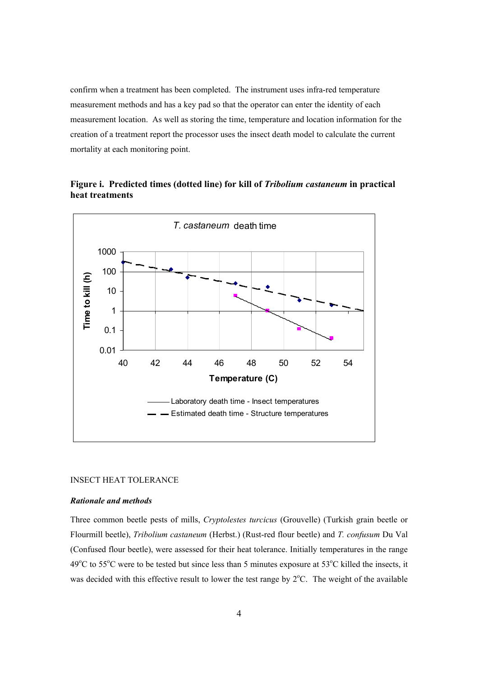confirm when a treatment has been completed. The instrument uses infra-red temperature measurement methods and has a key pad so that the operator can enter the identity of each measurement location. As well as storing the time, temperature and location information for the creation of a treatment report the processor uses the insect death model to calculate the current mortality at each monitoring point.



**Figure i. Predicted times (dotted line) for kill of** *Tribolium castaneum* **in practical heat treatments** 

#### INSECT HEAT TOLERANCE

#### *Rationale and methods*

Three common beetle pests of mills, *Cryptolestes turcicus* (Grouvelle) (Turkish grain beetle or Flourmill beetle), *Tribolium castaneum* (Herbst.) (Rust-red flour beetle) and *T. confusum* Du Val (Confused flour beetle), were assessed for their heat tolerance. Initially temperatures in the range  $49^{\circ}$ C to 55<sup>°</sup>C were to be tested but since less than 5 minutes exposure at 53<sup>°</sup>C killed the insects, it was decided with this effective result to lower the test range by  $2^{\circ}$ C. The weight of the available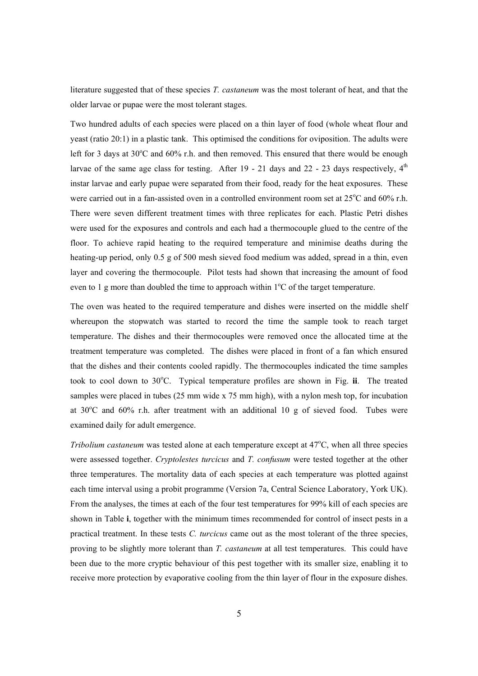literature suggested that of these species *T. castaneum* was the most tolerant of heat, and that the older larvae or pupae were the most tolerant stages.

Two hundred adults of each species were placed on a thin layer of food (whole wheat flour and yeast (ratio 20:1) in a plastic tank. This optimised the conditions for oviposition. The adults were left for 3 days at  $30^{\circ}$ C and  $60\%$  r.h. and then removed. This ensured that there would be enough larvae of the same age class for testing. After  $19 - 21$  days and  $22 - 23$  days respectively,  $4<sup>th</sup>$ instar larvae and early pupae were separated from their food, ready for the heat exposures. These were carried out in a fan-assisted oven in a controlled environment room set at 25°C and 60% r.h. There were seven different treatment times with three replicates for each. Plastic Petri dishes were used for the exposures and controls and each had a thermocouple glued to the centre of the floor. To achieve rapid heating to the required temperature and minimise deaths during the heating-up period, only 0.5 g of 500 mesh sieved food medium was added, spread in a thin, even layer and covering the thermocouple. Pilot tests had shown that increasing the amount of food even to 1 g more than doubled the time to approach within  $1^{\circ}$ C of the target temperature.

The oven was heated to the required temperature and dishes were inserted on the middle shelf whereupon the stopwatch was started to record the time the sample took to reach target temperature. The dishes and their thermocouples were removed once the allocated time at the treatment temperature was completed. The dishes were placed in front of a fan which ensured that the dishes and their contents cooled rapidly. The thermocouples indicated the time samples took to cool down to 30°C. Typical temperature profiles are shown in Fig. ii. The treated samples were placed in tubes (25 mm wide x 75 mm high), with a nylon mesh top, for incubation at  $30^{\circ}$ C and  $60\%$  r.h. after treatment with an additional 10 g of sieved food. Tubes were examined daily for adult emergence.

*Tribolium castaneum* was tested alone at each temperature except at 47°C, when all three species were assessed together. *Cryptolestes turcicus* and *T. confusum* were tested together at the other three temperatures. The mortality data of each species at each temperature was plotted against each time interval using a probit programme (Version 7a, Central Science Laboratory, York UK). From the analyses, the times at each of the four test temperatures for 99% kill of each species are shown in Table **i**, together with the minimum times recommended for control of insect pests in a practical treatment. In these tests *C. turcicus* came out as the most tolerant of the three species, proving to be slightly more tolerant than *T. castaneum* at all test temperatures. This could have been due to the more cryptic behaviour of this pest together with its smaller size, enabling it to receive more protection by evaporative cooling from the thin layer of flour in the exposure dishes.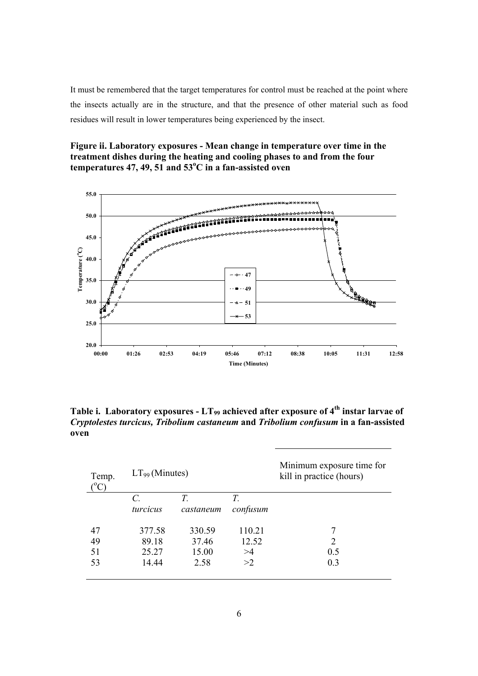It must be remembered that the target temperatures for control must be reached at the point where the insects actually are in the structure, and that the presence of other material such as food residues will result in lower temperatures being experienced by the insect.

**Figure ii. Laboratory exposures - Mean change in temperature over time in the treatment dishes during the heating and cooling phases to and from the four**  temperatures 47, 49, 51 and 53<sup>o</sup>C in a fan-assisted oven



**Table i. Laboratory exposures - LT99 achieved after exposure of 4th instar larvae of**  *Cryptolestes turcicus, Tribolium castaneum* **and** *Tribolium confusum* **in a fan-assisted oven** 

| Temp. | $LT99$ (Minutes) |           |          | Minimum exposure time for<br>kill in practice (hours) |
|-------|------------------|-----------|----------|-------------------------------------------------------|
|       | C.               | T.        | T.       |                                                       |
|       | turcicus         | castaneum | confusum |                                                       |
| 47    | 377.58           | 330.59    | 110.21   |                                                       |
| 49    | 89.18            | 37.46     | 12.52    | $\overline{2}$                                        |
| 51    | 25.27            | 15.00     | >4       | 0.5                                                   |
| 53    | 14.44            | 2.58      | >2       | 0.3                                                   |
|       |                  |           |          |                                                       |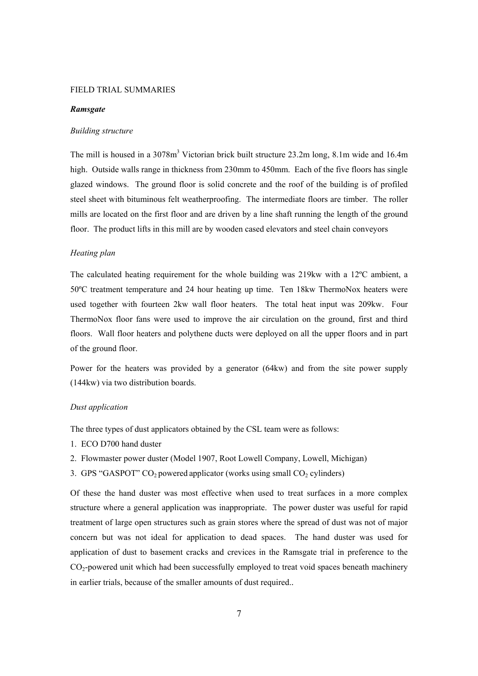#### FIELD TRIAL SUMMARIES

#### *Ramsgate*

#### *Building structure*

The mill is housed in a 3078m<sup>3</sup> Victorian brick built structure 23.2m long, 8.1m wide and 16.4m high. Outside walls range in thickness from 230mm to 450mm. Each of the five floors has single glazed windows. The ground floor is solid concrete and the roof of the building is of profiled steel sheet with bituminous felt weatherproofing. The intermediate floors are timber. The roller mills are located on the first floor and are driven by a line shaft running the length of the ground floor. The product lifts in this mill are by wooden cased elevators and steel chain conveyors

# *Heating plan*

The calculated heating requirement for the whole building was 219kw with a 12ºC ambient, a 50ºC treatment temperature and 24 hour heating up time. Ten 18kw ThermoNox heaters were used together with fourteen 2kw wall floor heaters. The total heat input was 209kw. Four ThermoNox floor fans were used to improve the air circulation on the ground, first and third floors. Wall floor heaters and polythene ducts were deployed on all the upper floors and in part of the ground floor.

Power for the heaters was provided by a generator (64kw) and from the site power supply (144kw) via two distribution boards.

# *Dust application*

The three types of dust applicators obtained by the CSL team were as follows:

- 1. ECO D700 hand duster
- 2. Flowmaster power duster (Model 1907, Root Lowell Company, Lowell, Michigan)
- 3. GPS "GASPOT"  $CO<sub>2</sub>$  powered applicator (works using small  $CO<sub>2</sub>$  cylinders)

Of these the hand duster was most effective when used to treat surfaces in a more complex structure where a general application was inappropriate. The power duster was useful for rapid treatment of large open structures such as grain stores where the spread of dust was not of major concern but was not ideal for application to dead spaces. The hand duster was used for application of dust to basement cracks and crevices in the Ramsgate trial in preference to the  $CO<sub>2</sub>$ -powered unit which had been successfully employed to treat void spaces beneath machinery in earlier trials, because of the smaller amounts of dust required..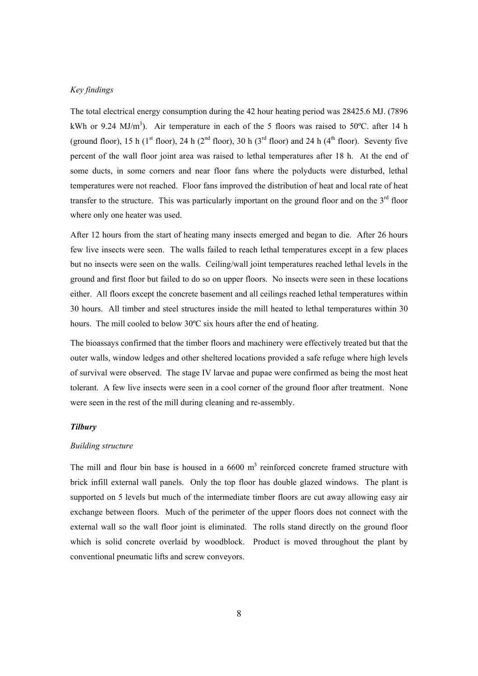#### *Key findings*

The total electrical energy consumption during the 42 hour heating period was 28425.6 MJ. (7896 kWh or 9.24 MJ/m<sup>3</sup>). Air temperature in each of the 5 floors was raised to 50°C. after 14 h (ground floor), 15 h (1<sup>st</sup> floor), 24 h (2<sup>nd</sup> floor), 30 h (3<sup>rd</sup> floor) and 24 h (4<sup>th</sup> floor). Seventy five percent of the wall floor joint area was raised to lethal temperatures after 18 h. At the end of some ducts, in some corners and near floor fans where the polyducts were disturbed, lethal temperatures were not reached. Floor fans improved the distribution of heat and local rate of heat transfer to the structure. This was particularly important on the ground floor and on the  $3<sup>rd</sup>$  floor where only one heater was used.

After 12 hours from the start of heating many insects emerged and began to die. After 26 hours few live insects were seen. The walls failed to reach lethal temperatures except in a few places but no insects were seen on the walls. Ceiling/wall joint temperatures reached lethal levels in the ground and first floor but failed to do so on upper floors. No insects were seen in these locations either. All floors except the concrete basement and all ceilings reached lethal temperatures within 30 hours. All timber and steel structures inside the mill heated to lethal temperatures within 30 hours. The mill cooled to below 30ºC six hours after the end of heating.

The bioassays confirmed that the timber floors and machinery were effectively treated but that the outer walls, window ledges and other sheltered locations provided a safe refuge where high levels of survival were observed. The stage IV larvae and pupae were confirmed as being the most heat tolerant. A few live insects were seen in a cool corner of the ground floor after treatment. None were seen in the rest of the mill during cleaning and re-assembly.

# *Tilbury*

#### *Building structure*

The mill and flour bin base is housed in a  $6600 \text{ m}^3$  reinforced concrete framed structure with brick infill external wall panels. Only the top floor has double glazed windows. The plant is supported on 5 levels but much of the intermediate timber floors are cut away allowing easy air exchange between floors. Much of the perimeter of the upper floors does not connect with the external wall so the wall floor joint is eliminated. The rolls stand directly on the ground floor which is solid concrete overlaid by woodblock. Product is moved throughout the plant by conventional pneumatic lifts and screw conveyors.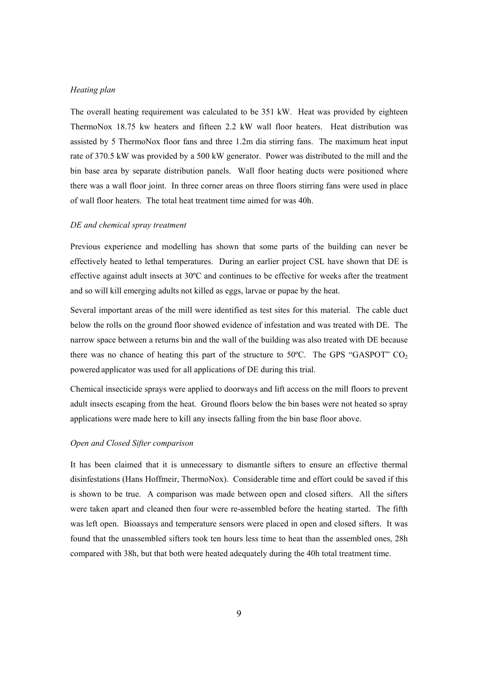#### *Heating plan*

The overall heating requirement was calculated to be 351 kW. Heat was provided by eighteen ThermoNox 18.75 kw heaters and fifteen 2.2 kW wall floor heaters. Heat distribution was assisted by 5 ThermoNox floor fans and three 1.2m dia stirring fans. The maximum heat input rate of 370.5 kW was provided by a 500 kW generator. Power was distributed to the mill and the bin base area by separate distribution panels. Wall floor heating ducts were positioned where there was a wall floor joint. In three corner areas on three floors stirring fans were used in place of wall floor heaters. The total heat treatment time aimed for was 40h.

#### *DE and chemical spray treatment*

Previous experience and modelling has shown that some parts of the building can never be effectively heated to lethal temperatures. During an earlier project CSL have shown that DE is effective against adult insects at 30ºC and continues to be effective for weeks after the treatment and so will kill emerging adults not killed as eggs, larvae or pupae by the heat.

Several important areas of the mill were identified as test sites for this material. The cable duct below the rolls on the ground floor showed evidence of infestation and was treated with DE. The narrow space between a returns bin and the wall of the building was also treated with DE because there was no chance of heating this part of the structure to  $50^{\circ}$ C. The GPS "GASPOT" CO<sub>2</sub> powered applicator was used for all applications of DE during this trial.

Chemical insecticide sprays were applied to doorways and lift access on the mill floors to prevent adult insects escaping from the heat. Ground floors below the bin bases were not heated so spray applications were made here to kill any insects falling from the bin base floor above.

#### *Open and Closed Sifter comparison*

It has been claimed that it is unnecessary to dismantle sifters to ensure an effective thermal disinfestations (Hans Hoffmeir, ThermoNox). Considerable time and effort could be saved if this is shown to be true. A comparison was made between open and closed sifters. All the sifters were taken apart and cleaned then four were re-assembled before the heating started. The fifth was left open. Bioassays and temperature sensors were placed in open and closed sifters. It was found that the unassembled sifters took ten hours less time to heat than the assembled ones, 28h compared with 38h, but that both were heated adequately during the 40h total treatment time.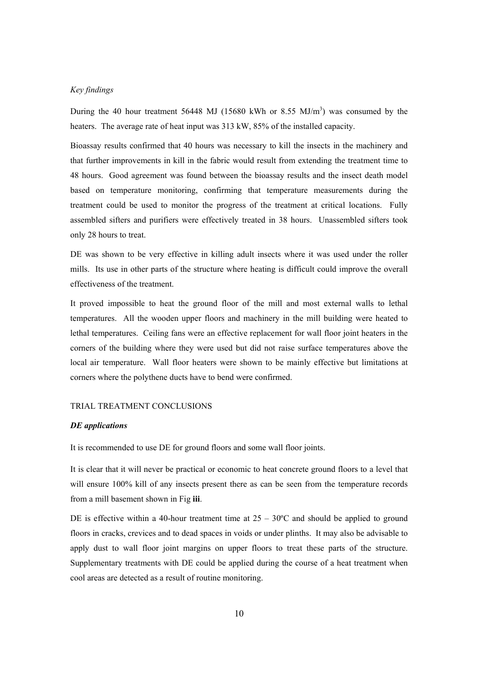#### *Key findings*

During the 40 hour treatment 56448 MJ (15680 kWh or 8.55 MJ/m<sup>3</sup>) was consumed by the heaters. The average rate of heat input was 313 kW, 85% of the installed capacity.

Bioassay results confirmed that 40 hours was necessary to kill the insects in the machinery and that further improvements in kill in the fabric would result from extending the treatment time to 48 hours. Good agreement was found between the bioassay results and the insect death model based on temperature monitoring, confirming that temperature measurements during the treatment could be used to monitor the progress of the treatment at critical locations. Fully assembled sifters and purifiers were effectively treated in 38 hours. Unassembled sifters took only 28 hours to treat.

DE was shown to be very effective in killing adult insects where it was used under the roller mills. Its use in other parts of the structure where heating is difficult could improve the overall effectiveness of the treatment.

It proved impossible to heat the ground floor of the mill and most external walls to lethal temperatures. All the wooden upper floors and machinery in the mill building were heated to lethal temperatures. Ceiling fans were an effective replacement for wall floor joint heaters in the corners of the building where they were used but did not raise surface temperatures above the local air temperature. Wall floor heaters were shown to be mainly effective but limitations at corners where the polythene ducts have to bend were confirmed.

#### TRIAL TREATMENT CONCLUSIONS

# *DE applications*

It is recommended to use DE for ground floors and some wall floor joints.

It is clear that it will never be practical or economic to heat concrete ground floors to a level that will ensure 100% kill of any insects present there as can be seen from the temperature records from a mill basement shown in Fig **iii**.

DE is effective within a 40-hour treatment time at  $25 - 30^{\circ}$ C and should be applied to ground floors in cracks, crevices and to dead spaces in voids or under plinths. It may also be advisable to apply dust to wall floor joint margins on upper floors to treat these parts of the structure. Supplementary treatments with DE could be applied during the course of a heat treatment when cool areas are detected as a result of routine monitoring.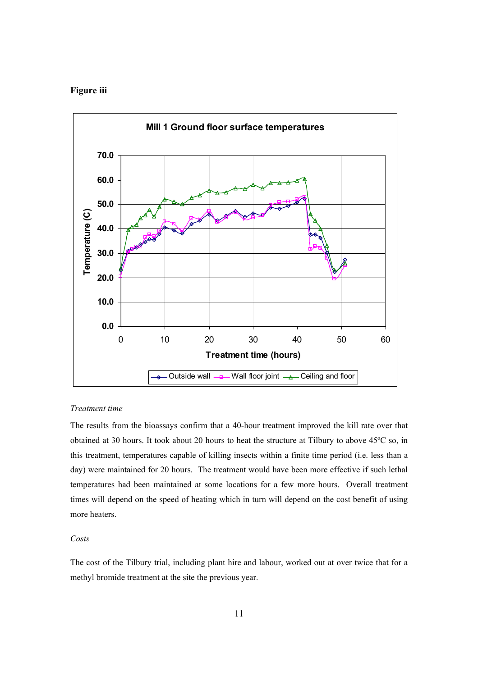# **Figure iii**



# *Treatment time*

The results from the bioassays confirm that a 40-hour treatment improved the kill rate over that obtained at 30 hours. It took about 20 hours to heat the structure at Tilbury to above 45ºC so, in this treatment, temperatures capable of killing insects within a finite time period (i.e. less than a day) were maintained for 20 hours. The treatment would have been more effective if such lethal temperatures had been maintained at some locations for a few more hours. Overall treatment times will depend on the speed of heating which in turn will depend on the cost benefit of using more heaters.

#### *Costs*

The cost of the Tilbury trial, including plant hire and labour, worked out at over twice that for a methyl bromide treatment at the site the previous year.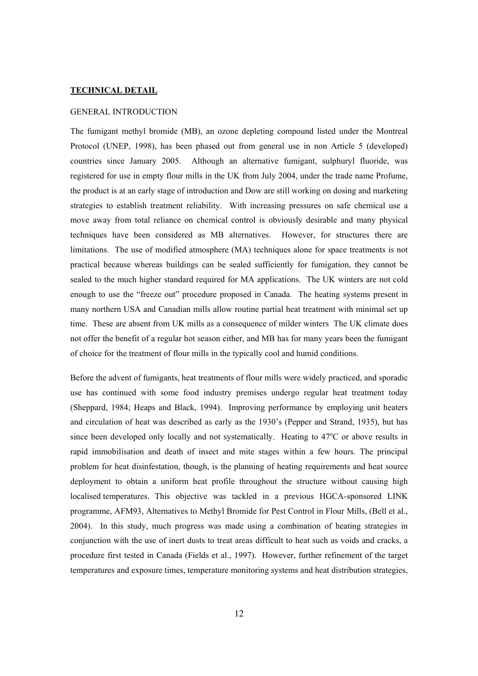#### **TECHNICAL DETAIL**

# GENERAL INTRODUCTION

The fumigant methyl bromide (MB), an ozone depleting compound listed under the Montreal Protocol (UNEP, 1998), has been phased out from general use in non Article 5 (developed) countries since January 2005. Although an alternative fumigant, sulphuryl fluoride, was registered for use in empty flour mills in the UK from July 2004, under the trade name Profume, the product is at an early stage of introduction and Dow are still working on dosing and marketing strategies to establish treatment reliability. With increasing pressures on safe chemical use a move away from total reliance on chemical control is obviously desirable and many physical techniques have been considered as MB alternatives. However, for structures there are limitations. The use of modified atmosphere (MA) techniques alone for space treatments is not practical because whereas buildings can be sealed sufficiently for fumigation, they cannot be sealed to the much higher standard required for MA applications. The UK winters are not cold enough to use the "freeze out" procedure proposed in Canada. The heating systems present in many northern USA and Canadian mills allow routine partial heat treatment with minimal set up time. These are absent from UK mills as a consequence of milder winters The UK climate does not offer the benefit of a regular hot season either, and MB has for many years been the fumigant of choice for the treatment of flour mills in the typically cool and humid conditions.

Before the advent of fumigants, heat treatments of flour mills were widely practiced, and sporadic use has continued with some food industry premises undergo regular heat treatment today (Sheppard, 1984; Heaps and Black, 1994). Improving performance by employing unit heaters and circulation of heat was described as early as the 1930's (Pepper and Strand, 1935), but has since been developed only locally and not systematically. Heating to  $47^{\circ}$ C or above results in rapid immobilisation and death of insect and mite stages within a few hours. The principal problem for heat disinfestation, though, is the planning of heating requirements and heat source deployment to obtain a uniform heat profile throughout the structure without causing high localised temperatures. This objective was tackled in a previous HGCA-sponsored LINK programme, AFM93, Alternatives to Methyl Bromide for Pest Control in Flour Mills, (Bell et al., 2004). In this study, much progress was made using a combination of heating strategies in conjunction with the use of inert dusts to treat areas difficult to heat such as voids and cracks, a procedure first tested in Canada (Fields et al., 1997). However, further refinement of the target temperatures and exposure times, temperature monitoring systems and heat distribution strategies,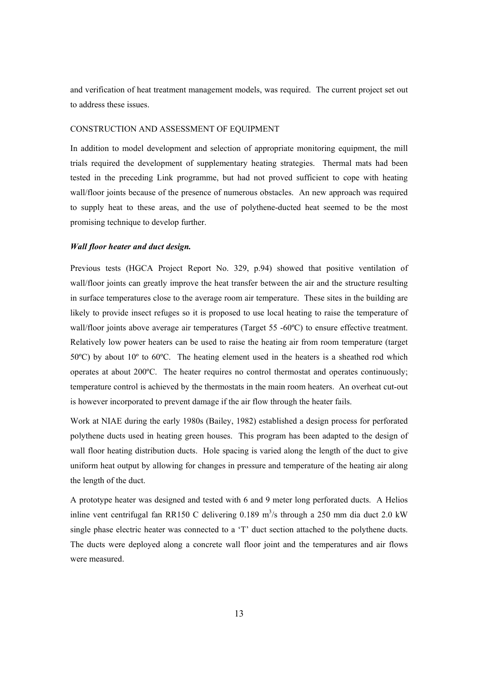and verification of heat treatment management models, was required. The current project set out to address these issues.

# CONSTRUCTION AND ASSESSMENT OF EQUIPMENT

In addition to model development and selection of appropriate monitoring equipment, the mill trials required the development of supplementary heating strategies. Thermal mats had been tested in the preceding Link programme, but had not proved sufficient to cope with heating wall/floor joints because of the presence of numerous obstacles. An new approach was required to supply heat to these areas, and the use of polythene-ducted heat seemed to be the most promising technique to develop further.

#### *Wall floor heater and duct design.*

Previous tests (HGCA Project Report No. 329, p.94) showed that positive ventilation of wall/floor joints can greatly improve the heat transfer between the air and the structure resulting in surface temperatures close to the average room air temperature. These sites in the building are likely to provide insect refuges so it is proposed to use local heating to raise the temperature of wall/floor joints above average air temperatures (Target 55 -60°C) to ensure effective treatment. Relatively low power heaters can be used to raise the heating air from room temperature (target 50ºC) by about 10º to 60ºC. The heating element used in the heaters is a sheathed rod which operates at about 200ºC. The heater requires no control thermostat and operates continuously; temperature control is achieved by the thermostats in the main room heaters. An overheat cut-out is however incorporated to prevent damage if the air flow through the heater fails.

Work at NIAE during the early 1980s (Bailey, 1982) established a design process for perforated polythene ducts used in heating green houses. This program has been adapted to the design of wall floor heating distribution ducts. Hole spacing is varied along the length of the duct to give uniform heat output by allowing for changes in pressure and temperature of the heating air along the length of the duct.

A prototype heater was designed and tested with 6 and 9 meter long perforated ducts. A Helios inline vent centrifugal fan RR150 C delivering  $0.189 \text{ m}^3/\text{s}$  through a 250 mm dia duct 2.0 kW single phase electric heater was connected to a 'T' duct section attached to the polythene ducts. The ducts were deployed along a concrete wall floor joint and the temperatures and air flows were measured.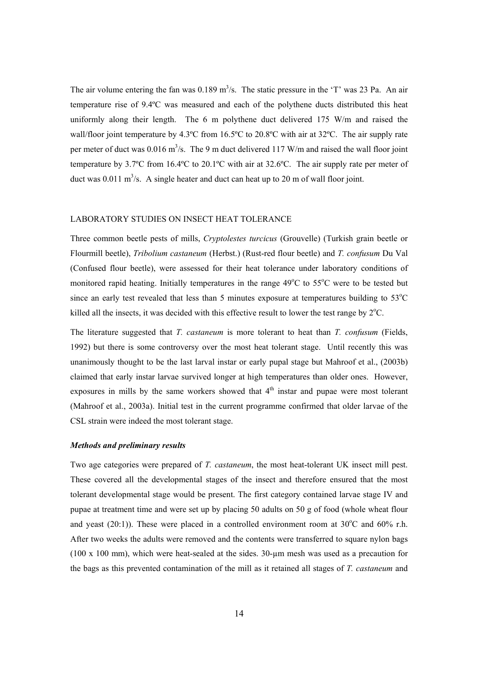The air volume entering the fan was  $0.189 \text{ m}^3/\text{s}$ . The static pressure in the 'T' was 23 Pa. An air temperature rise of 9.4ºC was measured and each of the polythene ducts distributed this heat uniformly along their length. The 6 m polythene duct delivered 175 W/m and raised the wall/floor joint temperature by 4.3°C from 16.5°C to 20.8°C with air at 32°C. The air supply rate per meter of duct was  $0.016 \text{ m}^3/\text{s}$ . The 9 m duct delivered 117 W/m and raised the wall floor joint temperature by 3.7ºC from 16.4ºC to 20.1ºC with air at 32.6ºC. The air supply rate per meter of duct was  $0.011 \text{ m}^3/\text{s}$ . A single heater and duct can heat up to 20 m of wall floor joint.

# LABORATORY STUDIES ON INSECT HEAT TOLERANCE

Three common beetle pests of mills, *Cryptolestes turcicus* (Grouvelle) (Turkish grain beetle or Flourmill beetle), *Tribolium castaneum* (Herbst.) (Rust-red flour beetle) and *T. confusum* Du Val (Confused flour beetle), were assessed for their heat tolerance under laboratory conditions of monitored rapid heating. Initially temperatures in the range  $49^{\circ}$ C to  $55^{\circ}$ C were to be tested but since an early test revealed that less than 5 minutes exposure at temperatures building to  $53^{\circ}$ C killed all the insects, it was decided with this effective result to lower the test range by  $2^{\circ}C$ .

The literature suggested that *T. castaneum* is more tolerant to heat than *T. confusum* (Fields, 1992) but there is some controversy over the most heat tolerant stage. Until recently this was unanimously thought to be the last larval instar or early pupal stage but Mahroof et al., (2003b) claimed that early instar larvae survived longer at high temperatures than older ones. However, exposures in mills by the same workers showed that  $4<sup>th</sup>$  instar and pupae were most tolerant (Mahroof et al., 2003a). Initial test in the current programme confirmed that older larvae of the CSL strain were indeed the most tolerant stage.

#### *Methods and preliminary results*

Two age categories were prepared of *T. castaneum*, the most heat-tolerant UK insect mill pest. These covered all the developmental stages of the insect and therefore ensured that the most tolerant developmental stage would be present. The first category contained larvae stage IV and pupae at treatment time and were set up by placing 50 adults on 50 g of food (whole wheat flour and yeast (20:1)). These were placed in a controlled environment room at  $30^{\circ}$ C and  $60\%$  r.h. After two weeks the adults were removed and the contents were transferred to square nylon bags (100 x 100 mm), which were heat-sealed at the sides. 30-µm mesh was used as a precaution for the bags as this prevented contamination of the mill as it retained all stages of *T. castaneum* and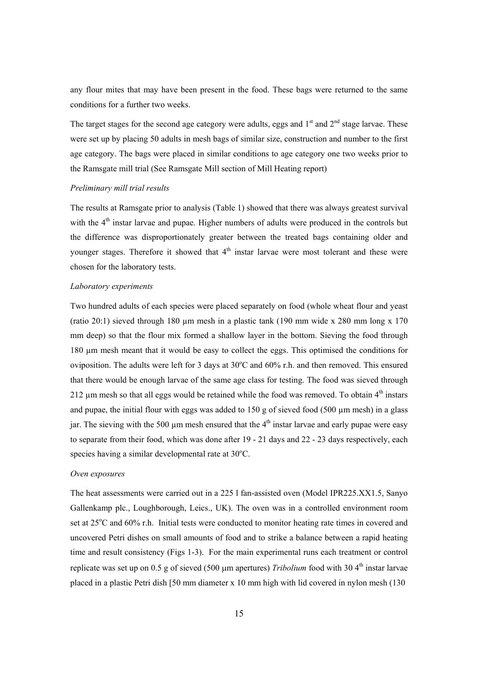any flour mites that may have been present in the food. These bags were returned to the same conditions for a further two weeks.

The target stages for the second age category were adults, eggs and  $1<sup>st</sup>$  and  $2<sup>nd</sup>$  stage larvae. These were set up by placing 50 adults in mesh bags of similar size, construction and number to the first age category. The bags were placed in similar conditions to age category one two weeks prior to the Ramsgate mill trial (See Ramsgate Mill section of Mill Heating report)

#### *Preliminary mill trial results*

The results at Ramsgate prior to analysis (Table 1) showed that there was always greatest survival with the 4<sup>th</sup> instar larvae and pupae. Higher numbers of adults were produced in the controls but the difference was disproportionately greater between the treated bags containing older and younger stages. Therefore it showed that  $4<sup>th</sup>$  instar larvae were most tolerant and these were chosen for the laboratory tests.

#### *Laboratory experiments*

Two hundred adults of each species were placed separately on food (whole wheat flour and yeast (ratio 20:1) sieved through 180  $\mu$ m mesh in a plastic tank (190 mm wide x 280 mm long x 170 mm deep) so that the flour mix formed a shallow layer in the bottom. Sieving the food through 180 µm mesh meant that it would be easy to collect the eggs. This optimised the conditions for oviposition. The adults were left for 3 days at  $30^{\circ}$ C and  $60\%$  r.h. and then removed. This ensured that there would be enough larvae of the same age class for testing. The food was sieved through 212  $\mu$ m mesh so that all eggs would be retained while the food was removed. To obtain  $4<sup>th</sup>$  instars and pupae, the initial flour with eggs was added to  $150$  g of sieved food (500  $\mu$ m mesh) in a glass jar. The sieving with the 500  $\mu$ m mesh ensured that the 4<sup>th</sup> instar larvae and early pupae were easy to separate from their food, which was done after 19 - 21 days and 22 - 23 days respectively, each species having a similar developmental rate at  $30^{\circ}$ C.

#### *Oven exposures*

The heat assessments were carried out in a 225 l fan-assisted oven (Model IPR225.XX1.5, Sanyo Gallenkamp plc., Loughborough, Leics., UK). The oven was in a controlled environment room set at 25°C and 60% r.h. Initial tests were conducted to monitor heating rate times in covered and uncovered Petri dishes on small amounts of food and to strike a balance between a rapid heating time and result consistency (Figs 1-3). For the main experimental runs each treatment or control replicate was set up on 0.5 g of sieved (500 µm apertures) *Tribolium* food with 30 4<sup>th</sup> instar larvae placed in a plastic Petri dish [50 mm diameter x 10 mm high with lid covered in nylon mesh (130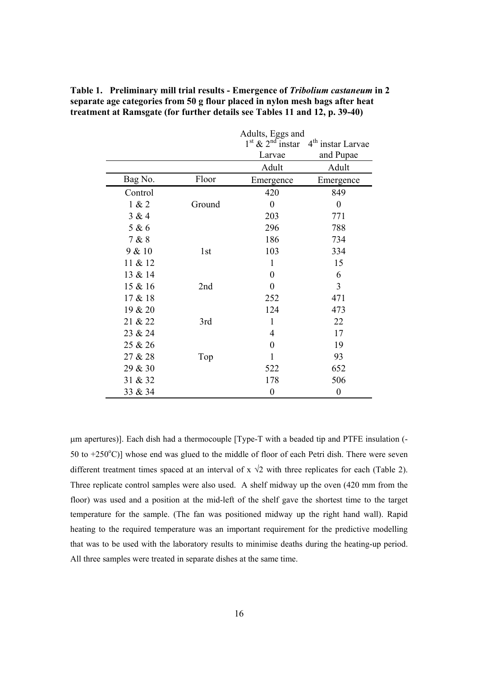|         |                 | Adults, Eggs and     |                               |  |  |  |
|---------|-----------------|----------------------|-------------------------------|--|--|--|
|         |                 | $1st$ & $2nd$ instar | 4 <sup>th</sup> instar Larvae |  |  |  |
|         |                 | Larvae               | and Pupae                     |  |  |  |
|         |                 | Adult                | Adult                         |  |  |  |
| Bag No. | Floor           | Emergence            | Emergence                     |  |  |  |
| Control |                 | 420                  | 849                           |  |  |  |
| 1 & 2   | Ground          | $\overline{0}$       | $\overline{0}$                |  |  |  |
| 3 & 4   |                 | 203                  | 771                           |  |  |  |
| 5 & 6   |                 | 296                  | 788                           |  |  |  |
| 7 & 8   |                 | 186                  | 734                           |  |  |  |
| 9 & 10  | 1 <sub>st</sub> | 103                  | 334                           |  |  |  |
| 11 & 12 |                 | 1                    | 15                            |  |  |  |
| 13 & 14 |                 | 0                    | 6                             |  |  |  |
| 15 & 16 | 2nd             | $\overline{0}$       | 3                             |  |  |  |
| 17 & 18 |                 | 252<br>471           |                               |  |  |  |
| 19 & 20 |                 | 124                  | 473                           |  |  |  |
| 21 & 22 | 3rd             | $\mathbf{1}$         | 22                            |  |  |  |
| 23 & 24 |                 | $\overline{4}$       | 17                            |  |  |  |
| 25 & 26 |                 | $\boldsymbol{0}$     | 19                            |  |  |  |
| 27 & 28 | Top             | $\mathbf{1}$         | 93                            |  |  |  |
| 29 & 30 |                 | 522                  | 652                           |  |  |  |
| 31 & 32 |                 | 178                  | 506                           |  |  |  |
| 33 & 34 |                 | $\boldsymbol{0}$     | $\boldsymbol{0}$              |  |  |  |

**Table 1. Preliminary mill trial results - Emergence of** *Tribolium castaneum* **in 2 separate age categories from 50 g flour placed in nylon mesh bags after heat treatment at Ramsgate (for further details see Tables 11 and 12, p. 39-40)** 

µm apertures)]. Each dish had a thermocouple [Type-T with a beaded tip and PTFE insulation (- 50 to  $+250^{\circ}$ C)] whose end was glued to the middle of floor of each Petri dish. There were seven different treatment times spaced at an interval of  $x \sqrt{2}$  with three replicates for each (Table 2). Three replicate control samples were also used. A shelf midway up the oven (420 mm from the floor) was used and a position at the mid-left of the shelf gave the shortest time to the target temperature for the sample. (The fan was positioned midway up the right hand wall). Rapid heating to the required temperature was an important requirement for the predictive modelling that was to be used with the laboratory results to minimise deaths during the heating-up period. All three samples were treated in separate dishes at the same time.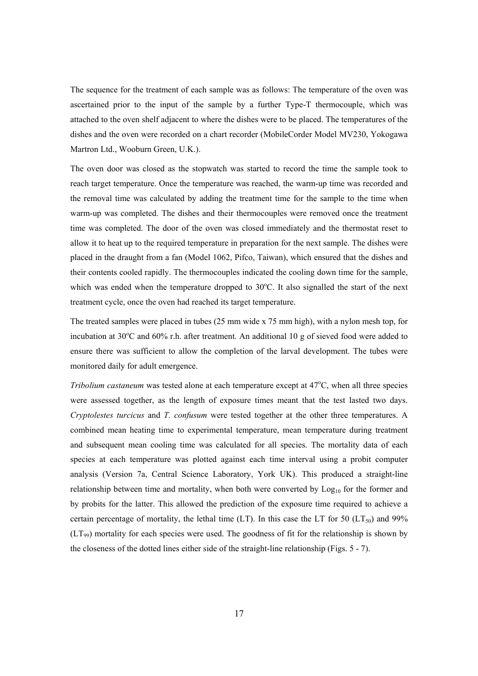The sequence for the treatment of each sample was as follows: The temperature of the oven was ascertained prior to the input of the sample by a further Type-T thermocouple, which was attached to the oven shelf adjacent to where the dishes were to be placed. The temperatures of the dishes and the oven were recorded on a chart recorder (MobileCorder Model MV230, Yokogawa Martron Ltd., Wooburn Green, U.K.).

The oven door was closed as the stopwatch was started to record the time the sample took to reach target temperature. Once the temperature was reached, the warm-up time was recorded and the removal time was calculated by adding the treatment time for the sample to the time when warm-up was completed. The dishes and their thermocouples were removed once the treatment time was completed. The door of the oven was closed immediately and the thermostat reset to allow it to heat up to the required temperature in preparation for the next sample. The dishes were placed in the draught from a fan (Model 1062, Pifco, Taiwan), which ensured that the dishes and their contents cooled rapidly. The thermocouples indicated the cooling down time for the sample, which was ended when the temperature dropped to  $30^{\circ}$ C. It also signalled the start of the next treatment cycle, once the oven had reached its target temperature.

The treated samples were placed in tubes (25 mm wide x 75 mm high), with a nylon mesh top, for incubation at 30°C and 60% r.h. after treatment. An additional 10 g of sieved food were added to ensure there was sufficient to allow the completion of the larval development. The tubes were monitored daily for adult emergence.

*Tribolium castaneum* was tested alone at each temperature except at 47°C, when all three species were assessed together, as the length of exposure times meant that the test lasted two days. *Cryptolestes turcicus* and *T. confusum* were tested together at the other three temperatures. A combined mean heating time to experimental temperature, mean temperature during treatment and subsequent mean cooling time was calculated for all species. The mortality data of each species at each temperature was plotted against each time interval using a probit computer analysis (Version 7a, Central Science Laboratory, York UK). This produced a straight-line relationship between time and mortality, when both were converted by  $Log<sub>10</sub>$  for the former and by probits for the latter. This allowed the prediction of the exposure time required to achieve a certain percentage of mortality, the lethal time (LT). In this case the LT for 50 (LT<sub>50</sub>) and 99%  $(LT_{99})$  mortality for each species were used. The goodness of fit for the relationship is shown by the closeness of the dotted lines either side of the straight-line relationship (Figs. 5 - 7).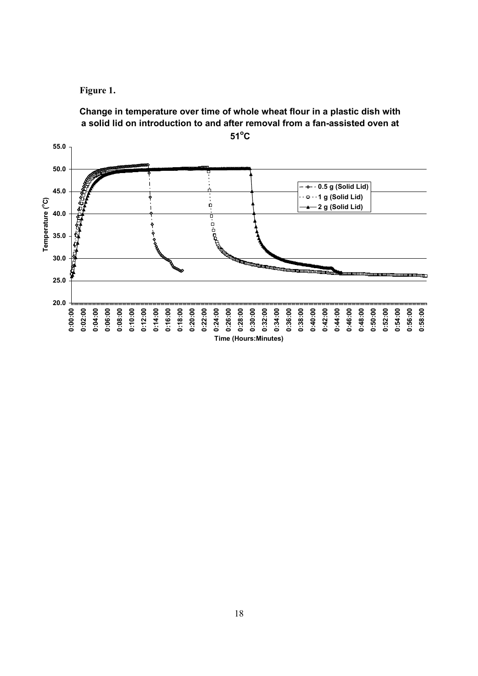



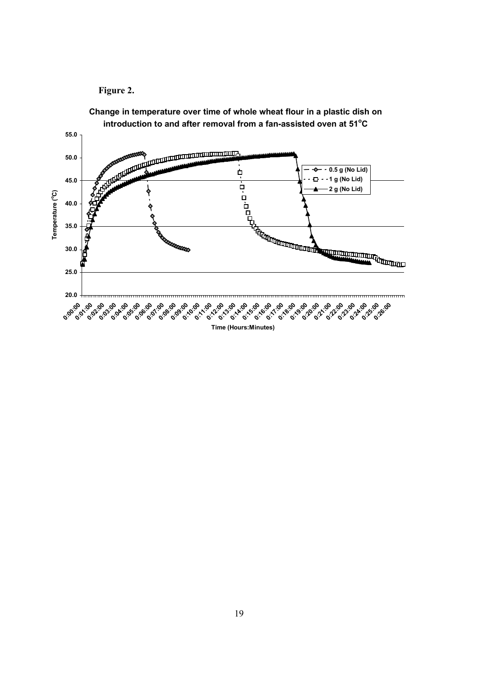# **Figure 2.**



**Change in temperature over time of whole wheat flour in a plastic dish on**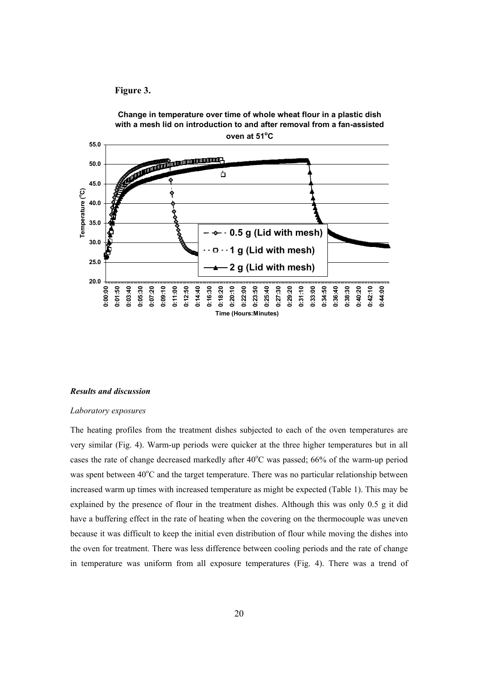



#### *Results and discussion*

#### *Laboratory exposures*

The heating profiles from the treatment dishes subjected to each of the oven temperatures are very similar (Fig. 4). Warm-up periods were quicker at the three higher temperatures but in all cases the rate of change decreased markedly after 40°C was passed; 66% of the warm-up period was spent between 40°C and the target temperature. There was no particular relationship between increased warm up times with increased temperature as might be expected (Table 1). This may be explained by the presence of flour in the treatment dishes. Although this was only 0.5 g it did have a buffering effect in the rate of heating when the covering on the thermocouple was uneven because it was difficult to keep the initial even distribution of flour while moving the dishes into the oven for treatment. There was less difference between cooling periods and the rate of change in temperature was uniform from all exposure temperatures (Fig. 4). There was a trend of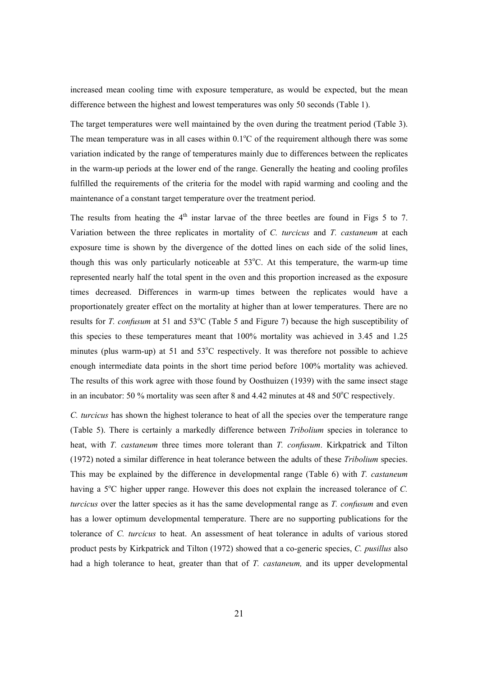increased mean cooling time with exposure temperature, as would be expected, but the mean difference between the highest and lowest temperatures was only 50 seconds (Table 1).

The target temperatures were well maintained by the oven during the treatment period (Table 3). The mean temperature was in all cases within  $0.1^{\circ}$ C of the requirement although there was some variation indicated by the range of temperatures mainly due to differences between the replicates in the warm-up periods at the lower end of the range. Generally the heating and cooling profiles fulfilled the requirements of the criteria for the model with rapid warming and cooling and the maintenance of a constant target temperature over the treatment period.

The results from heating the  $4<sup>th</sup>$  instar larvae of the three beetles are found in Figs 5 to 7. Variation between the three replicates in mortality of *C. turcicus* and *T. castaneum* at each exposure time is shown by the divergence of the dotted lines on each side of the solid lines, though this was only particularly noticeable at  $53^{\circ}$ C. At this temperature, the warm-up time represented nearly half the total spent in the oven and this proportion increased as the exposure times decreased. Differences in warm-up times between the replicates would have a proportionately greater effect on the mortality at higher than at lower temperatures. There are no results for *T. confusum* at 51 and 53<sup>o</sup>C (Table 5 and Figure 7) because the high susceptibility of this species to these temperatures meant that 100% mortality was achieved in 3.45 and 1.25 minutes (plus warm-up) at 51 and  $53^{\circ}$ C respectively. It was therefore not possible to achieve enough intermediate data points in the short time period before 100% mortality was achieved. The results of this work agree with those found by Oosthuizen (1939) with the same insect stage in an incubator: 50  $\%$  mortality was seen after 8 and 4.42 minutes at 48 and 50 $\degree$ C respectively.

*C. turcicus* has shown the highest tolerance to heat of all the species over the temperature range (Table 5). There is certainly a markedly difference between *Tribolium* species in tolerance to heat, with *T. castaneum* three times more tolerant than *T. confusum*. Kirkpatrick and Tilton (1972) noted a similar difference in heat tolerance between the adults of these *Tribolium* species. This may be explained by the difference in developmental range (Table 6) with *T. castaneum* having a 5<sup>o</sup>C higher upper range. However this does not explain the increased tolerance of *C*. *turcicus* over the latter species as it has the same developmental range as *T. confusum* and even has a lower optimum developmental temperature. There are no supporting publications for the tolerance of *C. turcicus* to heat. An assessment of heat tolerance in adults of various stored product pests by Kirkpatrick and Tilton (1972) showed that a co-generic species, *C. pusillus* also had a high tolerance to heat, greater than that of *T. castaneum,* and its upper developmental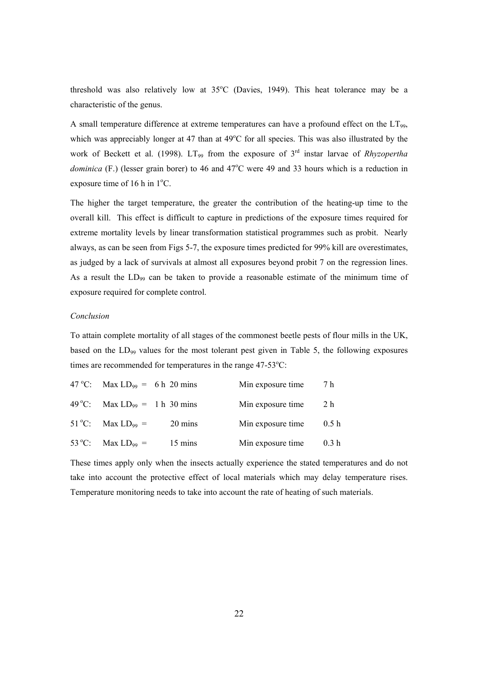threshold was also relatively low at  $35^{\circ}$ C (Davies, 1949). This heat tolerance may be a characteristic of the genus.

A small temperature difference at extreme temperatures can have a profound effect on the LT99, which was appreciably longer at 47 than at  $49^{\circ}$ C for all species. This was also illustrated by the work of Beckett et al. (1998). LT<sub>99</sub> from the exposure of 3<sup>rd</sup> instar larvae of *Rhyzopertha* dominica (F.) (lesser grain borer) to 46 and 47<sup>o</sup>C were 49 and 33 hours which is a reduction in exposure time of 16 h in  $1^{\circ}$ C.

The higher the target temperature, the greater the contribution of the heating-up time to the overall kill. This effect is difficult to capture in predictions of the exposure times required for extreme mortality levels by linear transformation statistical programmes such as probit. Nearly always, as can be seen from Figs 5-7, the exposure times predicted for 99% kill are overestimates, as judged by a lack of survivals at almost all exposures beyond probit 7 on the regression lines. As a result the LD<sub>99</sub> can be taken to provide a reasonable estimate of the minimum time of exposure required for complete control.

#### *Conclusion*

To attain complete mortality of all stages of the commonest beetle pests of flour mills in the UK, based on the LD<sub>99</sub> values for the most tolerant pest given in Table 5, the following exposures times are recommended for temperatures in the range  $47-53^{\circ}$ C:

| 47 °C: Max LD <sub>99</sub> = 6 h 20 mins |         | Min exposure time | 7 h              |
|-------------------------------------------|---------|-------------------|------------------|
| 49 °C: Max LD <sub>99</sub> = 1 h 30 mins |         | Min exposure time | 2 h              |
| $51^{\circ}$ C: Max LD <sub>99</sub> =    | 20 mins | Min exposure time | 0.5h             |
| 53 °C: Max LD <sub>99</sub> =             | 15 mins | Min exposure time | 0.3 <sub>h</sub> |

These times apply only when the insects actually experience the stated temperatures and do not take into account the protective effect of local materials which may delay temperature rises. Temperature monitoring needs to take into account the rate of heating of such materials.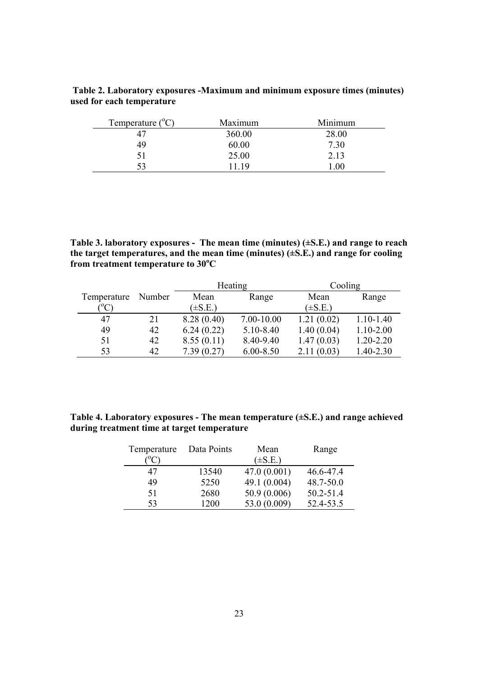| Table 2. Laboratory exposures -Maximum and minimum exposure times (minutes) |  |
|-----------------------------------------------------------------------------|--|
| used for each temperature                                                   |  |

| Temperature $(^{\circ}C)$ | Maximum | Minimum |
|---------------------------|---------|---------|
| 47                        | 360.00  | 28.00   |
| 49                        | 60.00   | 7.30    |
| 51                        | 25.00   | 2.13    |
| 53                        | 11 19   | $.00\,$ |

**Table 3. laboratory exposures - The mean time (minutes) (±S.E.) and range to reach the target temperatures, and the mean time (minutes) (±S.E.) and range for cooling from treatment temperature to 30<sup>o</sup> C** 

|             |        |              | Heating       | Cooling      |               |
|-------------|--------|--------------|---------------|--------------|---------------|
| Temperature | Number | Mean         | Range         | Mean         | Range         |
| $\rm ^{o}C$ |        | $(\pm S.E.)$ |               | $(\pm S.E.)$ |               |
| 47          | 21     | 8.28(0.40)   | 7.00-10.00    | 1.21(0.02)   | $1.10 - 1.40$ |
| 49          | 42     | 6.24(0.22)   | 5.10-8.40     | 1.40(0.04)   | $1.10 - 2.00$ |
| 51          | 42     | 8.55(0.11)   | 8.40-9.40     | 1.47(0.03)   | 1.20-2.20     |
| 53          | 42     | 7.39(0.27)   | $6.00 - 8.50$ | 2.11(0.03)   | 1.40-2.30     |

**Table 4. Laboratory exposures - The mean temperature (±S.E.) and range achieved during treatment time at target temperature** 

| Temperature | Data Points | Mean         | Range     |
|-------------|-------------|--------------|-----------|
|             |             | $(\pm S.E.)$ |           |
| 47          | 13540       | 47.0(0.001)  | 46.6-47.4 |
| 49          | 5250        | 49.1 (0.004) | 48.7-50.0 |
| 51          | 2680        | 50.9 (0.006) | 50.2-51.4 |
| 53          | 1200        | 53.0 (0.009) | 52.4-53.5 |
|             |             |              |           |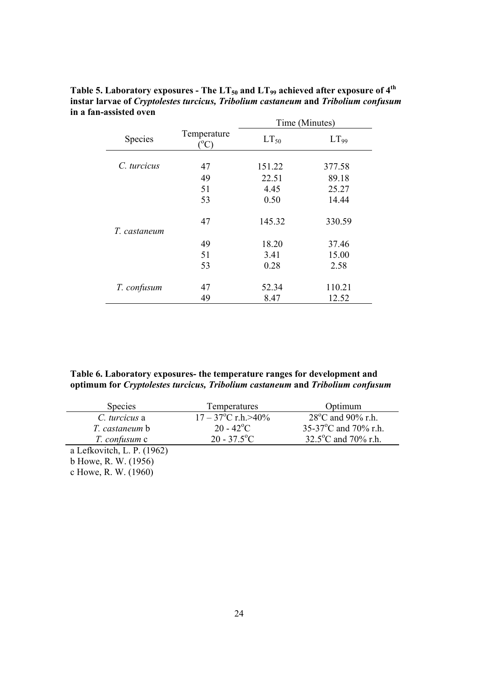|              |                              | Time (Minutes) |                  |  |  |  |
|--------------|------------------------------|----------------|------------------|--|--|--|
| Species      | Temperature<br>$^{\circ}$ C) | $LT_{50}$      | LT <sub>99</sub> |  |  |  |
| C. turcicus  | 47                           | 151.22         | 377.58           |  |  |  |
|              | 49                           | 22.51          | 89.18            |  |  |  |
|              | 51                           | 4.45           | 25.27            |  |  |  |
|              | 53                           | 0.50           | 14.44            |  |  |  |
| T. castaneum | 47                           | 145.32         | 330.59           |  |  |  |
|              | 49                           | 18.20          | 37.46            |  |  |  |
|              | 51                           | 3.41           | 15.00            |  |  |  |
|              | 53                           | 0.28           | 2.58             |  |  |  |
| T. confusum  | 47                           | 52.34          | 110.21           |  |  |  |
|              | 49                           | 8.47           | 12.52            |  |  |  |

Table 5. Laboratory exposures - The LT<sub>50</sub> and LT<sub>99</sub> achieved after exposure of 4<sup>th</sup> **instar larvae of** *Cryptolestes turcicus, Tribolium castaneum* **and** *Tribolium confusum* **in a fan-assisted oven**

# **Table 6. Laboratory exposures- the temperature ranges for development and optimum for** *Cryptolestes turcicus, Tribolium castaneum* **and** *Tribolium confusum*

| <b>Species</b>             | Temperatures                     | Optimum                         |
|----------------------------|----------------------------------|---------------------------------|
| C. turcicus a              | $17 - 37^{\circ}$ C r.h. $>40\%$ | $28^{\circ}$ C and 90% r.h.     |
| T. castaneum b             | $20 - 42$ <sup>o</sup> C         | 35-37 $^{\circ}$ C and 70% r.h. |
| T. confusum c              | $20 - 37.5$ °C                   | 32.5°C and 70% r.h.             |
| a Lefkovitch, L. P. (1962) |                                  |                                 |
| b Howe, R. W. (1956)       |                                  |                                 |

c Howe, R. W. (1960)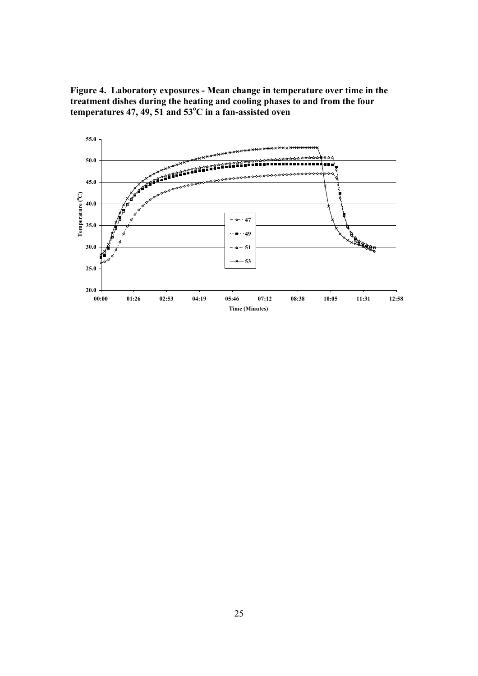**Figure 4. Laboratory exposures - Mean change in temperature over time in the treatment dishes during the heating and cooling phases to and from the four**  temperatures 47, 49, 51 and 53<sup>o</sup>C in a fan-assisted oven

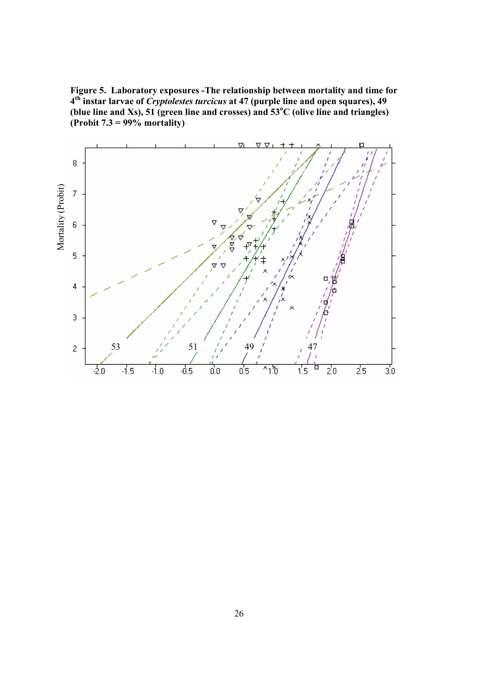**Figure 5. Laboratory exposures -The relationship between mortality and time for 4th instar larvae of** *Cryptolestes turcicus* **at 47 (purple line and open squares), 49**  (blue line and Xs), 51 (green line and crosses) and  $53^{\circ}$ C (olive line and triangles) **(Probit 7.3 = 99% mortality)** 

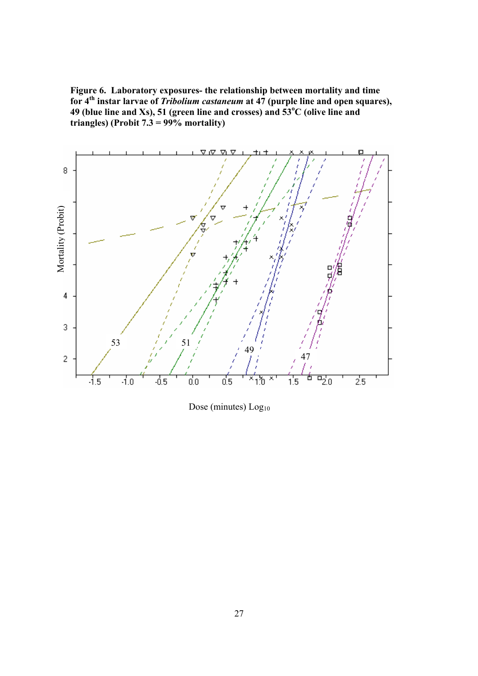**Figure 6. Laboratory exposures- the relationship between mortality and time for 4th instar larvae of** *Tribolium castaneum* **at 47 (purple line and open squares), 49 (blue line and Xs), 51 (green line and crosses) and 53<sup>o</sup> C (olive line and triangles) (Probit 7.3 = 99% mortality)** 



Dose (minutes) Log<sub>10</sub>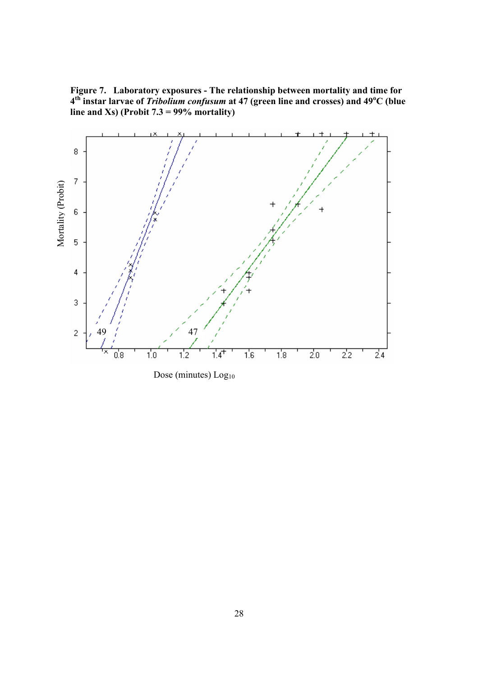**Figure 7. Laboratory exposures - The relationship between mortality and time for 4th instar larvae of** *Tribolium confusum* **at 47 (green line and crosses) and 49<sup>o</sup> C (blue line and Xs) (Probit 7.3 = 99% mortality)** 



Dose (minutes) Log<sub>10</sub>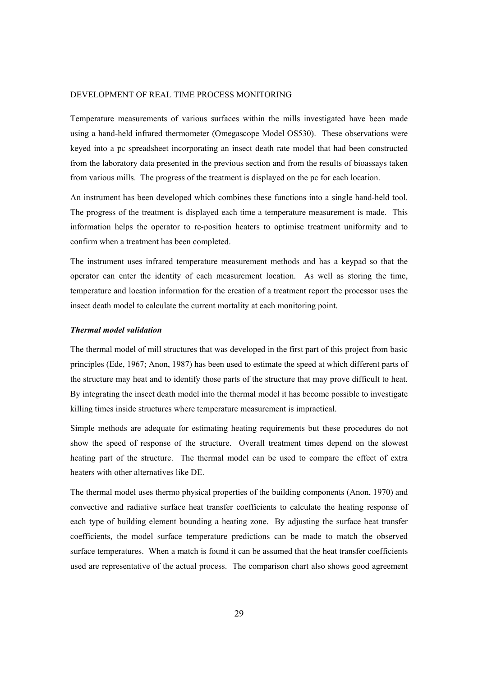#### DEVELOPMENT OF REAL TIME PROCESS MONITORING

Temperature measurements of various surfaces within the mills investigated have been made using a hand-held infrared thermometer (Omegascope Model OS530). These observations were keyed into a pc spreadsheet incorporating an insect death rate model that had been constructed from the laboratory data presented in the previous section and from the results of bioassays taken from various mills. The progress of the treatment is displayed on the pc for each location.

An instrument has been developed which combines these functions into a single hand-held tool. The progress of the treatment is displayed each time a temperature measurement is made. This information helps the operator to re-position heaters to optimise treatment uniformity and to confirm when a treatment has been completed.

The instrument uses infrared temperature measurement methods and has a keypad so that the operator can enter the identity of each measurement location. As well as storing the time, temperature and location information for the creation of a treatment report the processor uses the insect death model to calculate the current mortality at each monitoring point.

# *Thermal model validation*

The thermal model of mill structures that was developed in the first part of this project from basic principles (Ede, 1967; Anon, 1987) has been used to estimate the speed at which different parts of the structure may heat and to identify those parts of the structure that may prove difficult to heat. By integrating the insect death model into the thermal model it has become possible to investigate killing times inside structures where temperature measurement is impractical.

Simple methods are adequate for estimating heating requirements but these procedures do not show the speed of response of the structure. Overall treatment times depend on the slowest heating part of the structure. The thermal model can be used to compare the effect of extra heaters with other alternatives like DE.

The thermal model uses thermo physical properties of the building components (Anon, 1970) and convective and radiative surface heat transfer coefficients to calculate the heating response of each type of building element bounding a heating zone. By adjusting the surface heat transfer coefficients, the model surface temperature predictions can be made to match the observed surface temperatures. When a match is found it can be assumed that the heat transfer coefficients used are representative of the actual process. The comparison chart also shows good agreement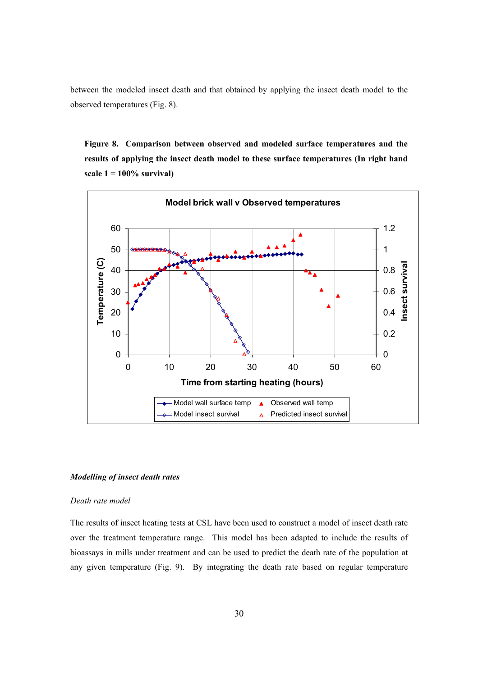between the modeled insect death and that obtained by applying the insect death model to the observed temperatures (Fig. 8).

**Figure 8. Comparison between observed and modeled surface temperatures and the results of applying the insect death model to these surface temperatures (In right hand scale 1 = 100% survival)** 



#### *Modelling of insect death rates*

# *Death rate model*

The results of insect heating tests at CSL have been used to construct a model of insect death rate over the treatment temperature range. This model has been adapted to include the results of bioassays in mills under treatment and can be used to predict the death rate of the population at any given temperature (Fig. 9). By integrating the death rate based on regular temperature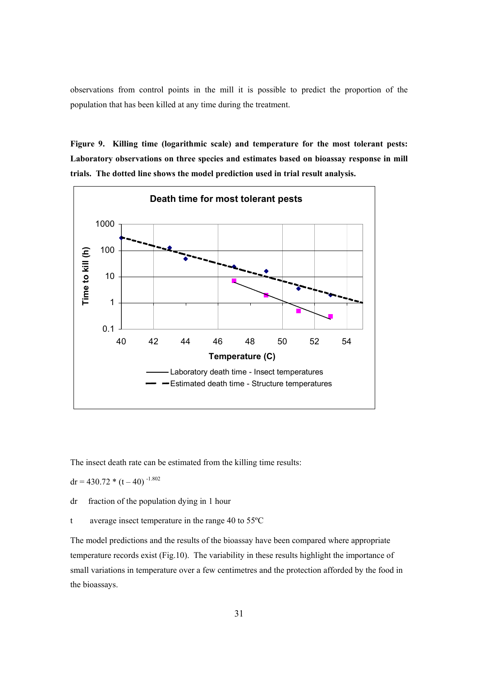observations from control points in the mill it is possible to predict the proportion of the population that has been killed at any time during the treatment.

**Figure 9. Killing time (logarithmic scale) and temperature for the most tolerant pests: Laboratory observations on three species and estimates based on bioassay response in mill trials. The dotted line shows the model prediction used in trial result analysis.** 



The insect death rate can be estimated from the killing time results:

 $dr = 430.72 * (t - 40)^{-1.802}$ 

dr fraction of the population dying in 1 hour

t average insect temperature in the range 40 to 55ºC

The model predictions and the results of the bioassay have been compared where appropriate temperature records exist (Fig.10). The variability in these results highlight the importance of small variations in temperature over a few centimetres and the protection afforded by the food in the bioassays.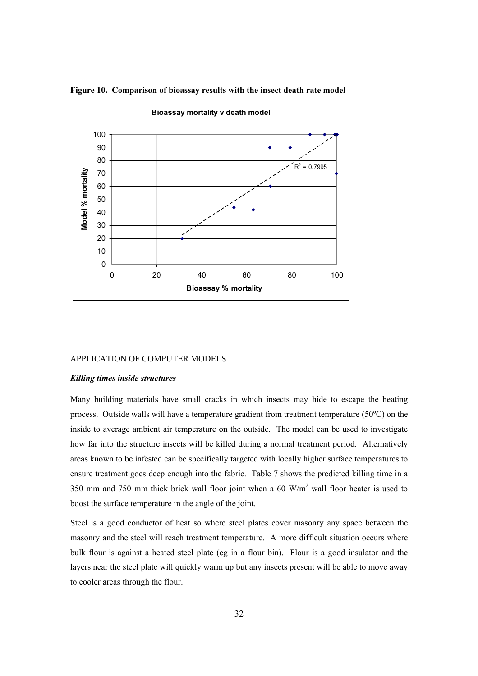

**Figure 10. Comparison of bioassay results with the insect death rate model** 

# APPLICATION OF COMPUTER MODELS

#### *Killing times inside structures*

Many building materials have small cracks in which insects may hide to escape the heating process. Outside walls will have a temperature gradient from treatment temperature (50ºC) on the inside to average ambient air temperature on the outside. The model can be used to investigate how far into the structure insects will be killed during a normal treatment period. Alternatively areas known to be infested can be specifically targeted with locally higher surface temperatures to ensure treatment goes deep enough into the fabric. Table 7 shows the predicted killing time in a 350 mm and 750 mm thick brick wall floor joint when a 60  $W/m<sup>2</sup>$  wall floor heater is used to boost the surface temperature in the angle of the joint.

Steel is a good conductor of heat so where steel plates cover masonry any space between the masonry and the steel will reach treatment temperature. A more difficult situation occurs where bulk flour is against a heated steel plate (eg in a flour bin). Flour is a good insulator and the layers near the steel plate will quickly warm up but any insects present will be able to move away to cooler areas through the flour.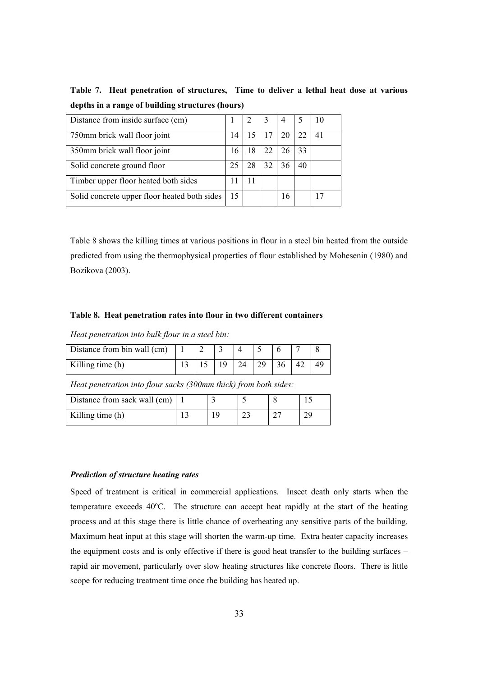**Table 7. Heat penetration of structures, Time to deliver a lethal heat dose at various depths in a range of building structures (hours)**

| Distance from inside surface (cm)            |    |    | 4  |    |    |
|----------------------------------------------|----|----|----|----|----|
| 750mm brick wall floor joint                 | 14 |    |    | 22 | 41 |
| 350mm brick wall floor joint                 | 16 | 18 |    | 33 |    |
| Solid concrete ground floor                  |    | 28 |    | 40 |    |
| Timber upper floor heated both sides         | 11 |    |    |    |    |
| Solid concrete upper floor heated both sides | 15 |    | 16 |    |    |

Table 8 shows the killing times at various positions in flour in a steel bin heated from the outside predicted from using the thermophysical properties of flour established by Mohesenin (1980) and Bozikova (2003).

# **Table 8. Heat penetration rates into flour in two different containers**

*Heat penetration into bulk flour in a steel bin:* 

| Distance from bin wall (cm) |  |    |    |  |  |
|-----------------------------|--|----|----|--|--|
| Killing time $(h)$          |  | 24 | 29 |  |  |

*Heat penetration into flour sacks (300mm thick) from both sides:* 

| Distance from sack wall (cm) |  |      |  |
|------------------------------|--|------|--|
| Killing time (h)             |  | ر_ ب |  |

#### *Prediction of structure heating rates*

Speed of treatment is critical in commercial applications. Insect death only starts when the temperature exceeds 40ºC. The structure can accept heat rapidly at the start of the heating process and at this stage there is little chance of overheating any sensitive parts of the building. Maximum heat input at this stage will shorten the warm-up time. Extra heater capacity increases the equipment costs and is only effective if there is good heat transfer to the building surfaces – rapid air movement, particularly over slow heating structures like concrete floors. There is little scope for reducing treatment time once the building has heated up.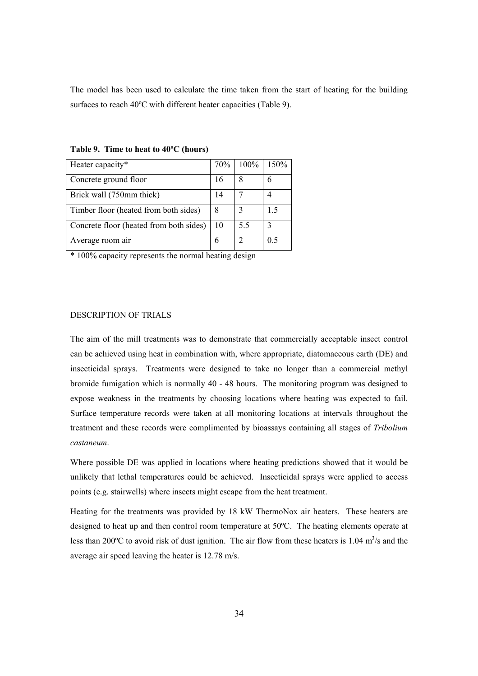The model has been used to calculate the time taken from the start of heating for the building surfaces to reach 40ºC with different heater capacities (Table 9).

| Heater capacity*                        | 70% | $100\%$ | 150%        |
|-----------------------------------------|-----|---------|-------------|
| Concrete ground floor                   | 16  | 8       | b           |
| Brick wall (750mm thick)                | 14  |         |             |
| Timber floor (heated from both sides)   | 8   |         | 15          |
| Concrete floor (heated from both sides) | 10  | 5.5     | $\mathbf 3$ |
| Average room air                        | 6   |         | 0.5         |

**Table 9. Time to heat to 40ºC (hours)** 

\* 100% capacity represents the normal heating design

# DESCRIPTION OF TRIALS

The aim of the mill treatments was to demonstrate that commercially acceptable insect control can be achieved using heat in combination with, where appropriate, diatomaceous earth (DE) and insecticidal sprays. Treatments were designed to take no longer than a commercial methyl bromide fumigation which is normally 40 - 48 hours. The monitoring program was designed to expose weakness in the treatments by choosing locations where heating was expected to fail. Surface temperature records were taken at all monitoring locations at intervals throughout the treatment and these records were complimented by bioassays containing all stages of *Tribolium castaneum*.

Where possible DE was applied in locations where heating predictions showed that it would be unlikely that lethal temperatures could be achieved. Insecticidal sprays were applied to access points (e.g. stairwells) where insects might escape from the heat treatment.

Heating for the treatments was provided by 18 kW ThermoNox air heaters. These heaters are designed to heat up and then control room temperature at 50ºC. The heating elements operate at less than 200 $^{\circ}$ C to avoid risk of dust ignition. The air flow from these heaters is 1.04 m<sup>3</sup>/s and the average air speed leaving the heater is 12.78 m/s.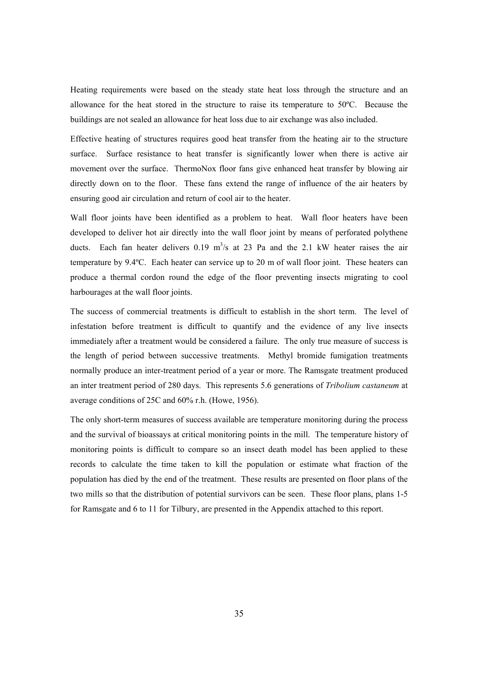Heating requirements were based on the steady state heat loss through the structure and an allowance for the heat stored in the structure to raise its temperature to 50ºC. Because the buildings are not sealed an allowance for heat loss due to air exchange was also included.

Effective heating of structures requires good heat transfer from the heating air to the structure surface. Surface resistance to heat transfer is significantly lower when there is active air movement over the surface. ThermoNox floor fans give enhanced heat transfer by blowing air directly down on to the floor. These fans extend the range of influence of the air heaters by ensuring good air circulation and return of cool air to the heater.

Wall floor joints have been identified as a problem to heat. Wall floor heaters have been developed to deliver hot air directly into the wall floor joint by means of perforated polythene ducts. Each fan heater delivers  $0.19 \text{ m}^3/\text{s}$  at 23 Pa and the 2.1 kW heater raises the air temperature by 9.4ºC. Each heater can service up to 20 m of wall floor joint. These heaters can produce a thermal cordon round the edge of the floor preventing insects migrating to cool harbourages at the wall floor joints.

The success of commercial treatments is difficult to establish in the short term. The level of infestation before treatment is difficult to quantify and the evidence of any live insects immediately after a treatment would be considered a failure. The only true measure of success is the length of period between successive treatments. Methyl bromide fumigation treatments normally produce an inter-treatment period of a year or more. The Ramsgate treatment produced an inter treatment period of 280 days. This represents 5.6 generations of *Tribolium castaneum* at average conditions of 25C and 60% r.h. (Howe, 1956).

The only short-term measures of success available are temperature monitoring during the process and the survival of bioassays at critical monitoring points in the mill. The temperature history of monitoring points is difficult to compare so an insect death model has been applied to these records to calculate the time taken to kill the population or estimate what fraction of the population has died by the end of the treatment. These results are presented on floor plans of the two mills so that the distribution of potential survivors can be seen. These floor plans, plans 1-5 for Ramsgate and 6 to 11 for Tilbury, are presented in the Appendix attached to this report.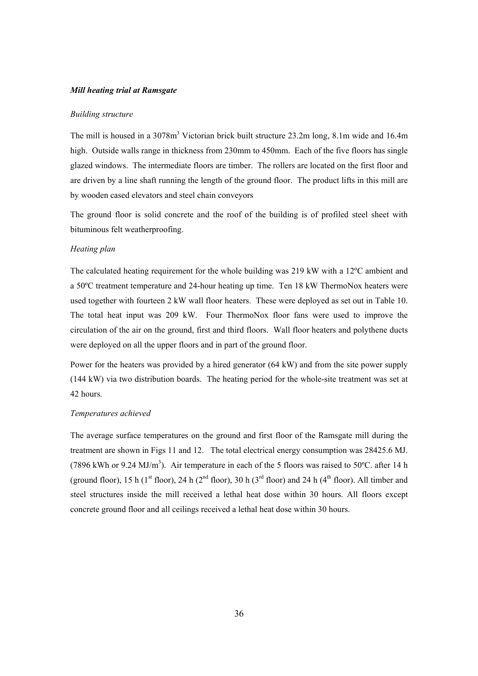#### *Mill heating trial at Ramsgate*

#### *Building structure*

The mill is housed in a 3078m<sup>3</sup> Victorian brick built structure 23.2m long, 8.1m wide and 16.4m high. Outside walls range in thickness from 230mm to 450mm. Each of the five floors has single glazed windows. The intermediate floors are timber. The rollers are located on the first floor and are driven by a line shaft running the length of the ground floor. The product lifts in this mill are by wooden cased elevators and steel chain conveyors

The ground floor is solid concrete and the roof of the building is of profiled steel sheet with bituminous felt weatherproofing.

# *Heating plan*

The calculated heating requirement for the whole building was 219 kW with a 12ºC ambient and a 50ºC treatment temperature and 24-hour heating up time. Ten 18 kW ThermoNox heaters were used together with fourteen 2 kW wall floor heaters. These were deployed as set out in Table 10. The total heat input was 209 kW. Four ThermoNox floor fans were used to improve the circulation of the air on the ground, first and third floors. Wall floor heaters and polythene ducts were deployed on all the upper floors and in part of the ground floor.

Power for the heaters was provided by a hired generator (64 kW) and from the site power supply (144 kW) via two distribution boards. The heating period for the whole-site treatment was set at 42 hours.

#### *Temperatures achieved*

The average surface temperatures on the ground and first floor of the Ramsgate mill during the treatment are shown in Figs 11 and 12. The total electrical energy consumption was 28425.6 MJ. (7896 kWh or 9.24 MJ/m<sup>3</sup>). Air temperature in each of the 5 floors was raised to 50°C. after 14 h (ground floor), 15 h (1<sup>st</sup> floor), 24 h (2<sup>nd</sup> floor), 30 h (3<sup>rd</sup> floor) and 24 h (4<sup>th</sup> floor). All timber and steel structures inside the mill received a lethal heat dose within 30 hours. All floors except concrete ground floor and all ceilings received a lethal heat dose within 30 hours.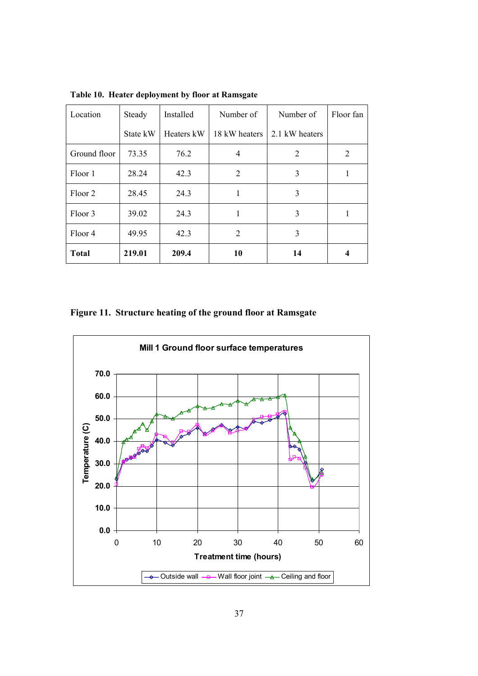| Location     | Steady   | Installed  | Number of      | Number of      | Floor fan |
|--------------|----------|------------|----------------|----------------|-----------|
|              | State kW | Heaters kW | 18 kW heaters  | 2.1 kW heaters |           |
| Ground floor | 73.35    | 76.2       | 4              | 2              | 2         |
| Floor 1      | 28.24    | 42.3       | $\overline{2}$ | 3              |           |
| Floor 2      | 28.45    | 24.3       | 1              | 3              |           |
| Floor 3      | 39.02    | 24.3       | 1              | 3              | ш         |
| Floor 4      | 49.95    | 42.3       | $\overline{2}$ | 3              |           |
| <b>Total</b> | 219.01   | 209.4      | 10             | 14             | 4         |

**Table 10. Heater deployment by floor at Ramsgate**

**Figure 11. Structure heating of the ground floor at Ramsgate** 

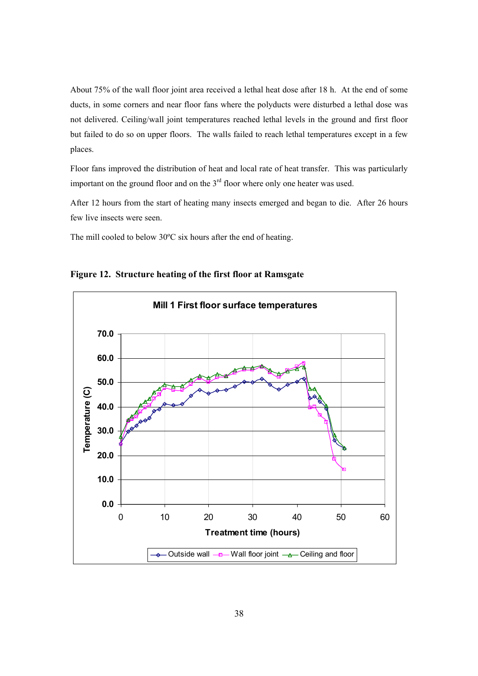About 75% of the wall floor joint area received a lethal heat dose after 18 h. At the end of some ducts, in some corners and near floor fans where the polyducts were disturbed a lethal dose was not delivered. Ceiling/wall joint temperatures reached lethal levels in the ground and first floor but failed to do so on upper floors. The walls failed to reach lethal temperatures except in a few places.

Floor fans improved the distribution of heat and local rate of heat transfer. This was particularly important on the ground floor and on the 3<sup>rd</sup> floor where only one heater was used.

After 12 hours from the start of heating many insects emerged and began to die. After 26 hours few live insects were seen.

The mill cooled to below 30ºC six hours after the end of heating.



**Figure 12. Structure heating of the first floor at Ramsgate**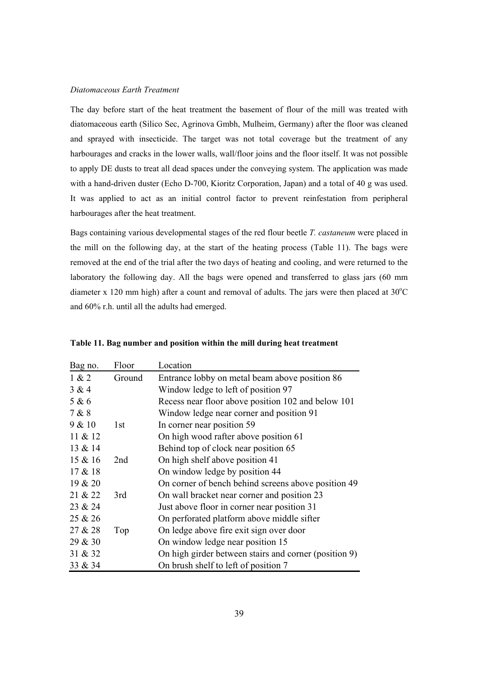#### *Diatomaceous Earth Treatment*

The day before start of the heat treatment the basement of flour of the mill was treated with diatomaceous earth (Silico Sec, Agrinova Gmbh, Mulheim, Germany) after the floor was cleaned and sprayed with insecticide. The target was not total coverage but the treatment of any harbourages and cracks in the lower walls, wall/floor joins and the floor itself. It was not possible to apply DE dusts to treat all dead spaces under the conveying system. The application was made with a hand-driven duster (Echo D-700, Kioritz Corporation, Japan) and a total of 40 g was used. It was applied to act as an initial control factor to prevent reinfestation from peripheral harbourages after the heat treatment.

Bags containing various developmental stages of the red flour beetle *T. castaneum* were placed in the mill on the following day, at the start of the heating process (Table 11). The bags were removed at the end of the trial after the two days of heating and cooling, and were returned to the laboratory the following day. All the bags were opened and transferred to glass jars (60 mm diameter x 120 mm high) after a count and removal of adults. The jars were then placed at  $30^{\circ}$ C and 60% r.h. until all the adults had emerged.

| Bag no. | Floor           | Location                                              |
|---------|-----------------|-------------------------------------------------------|
| 1 & 2   | Ground          | Entrance lobby on metal beam above position 86        |
| 3 & 4   |                 | Window ledge to left of position 97                   |
| 5 & 6   |                 | Recess near floor above position 102 and below 101    |
| 7 & 8   |                 | Window ledge near corner and position 91              |
| 9 & 10  | 1 <sub>st</sub> | In corner near position 59                            |
| 11 & 12 |                 | On high wood rafter above position 61                 |
| 13 & 14 |                 | Behind top of clock near position 65                  |
| 15 & 16 | 2nd             | On high shelf above position 41                       |
| 17 & 18 |                 | On window ledge by position 44                        |
| 19 & 20 |                 | On corner of bench behind screens above position 49   |
| 21 & 22 | 3rd             | On wall bracket near corner and position 23           |
| 23 & 24 |                 | Just above floor in corner near position 31           |
| 25 & 26 |                 | On perforated platform above middle sifter            |
| 27 & 28 | Top             | On ledge above fire exit sign over door               |
| 29 & 30 |                 | On window ledge near position 15                      |
| 31 & 32 |                 | On high girder between stairs and corner (position 9) |
| 33 & 34 |                 | On brush shelf to left of position 7                  |

**Table 11. Bag number and position within the mill during heat treatment**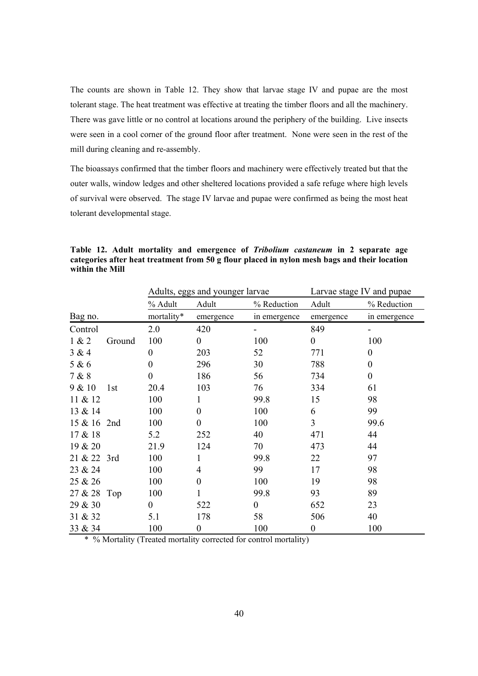The counts are shown in Table 12. They show that larvae stage IV and pupae are the most tolerant stage. The heat treatment was effective at treating the timber floors and all the machinery. There was gave little or no control at locations around the periphery of the building. Live insects were seen in a cool corner of the ground floor after treatment. None were seen in the rest of the mill during cleaning and re-assembly.

The bioassays confirmed that the timber floors and machinery were effectively treated but that the outer walls, window ledges and other sheltered locations provided a safe refuge where high levels of survival were observed. The stage IV larvae and pupae were confirmed as being the most heat tolerant developmental stage.

|             |        | Adults, eggs and younger larvae |                  |              | Larvae stage IV and pupae |                  |  |
|-------------|--------|---------------------------------|------------------|--------------|---------------------------|------------------|--|
|             |        | % Adult                         | Adult            | % Reduction  | Adult                     | % Reduction      |  |
| Bag no.     |        | mortality*                      | emergence        | in emergence | emergence                 | in emergence     |  |
| Control     |        | 2.0                             | 420              |              | 849                       |                  |  |
| 1 & 2       | Ground | 100                             | $\mathbf{0}$     | 100          | $\mathbf{0}$              | 100              |  |
| 3 & 4       |        | $\boldsymbol{0}$                | 203              | 52           | 771                       | $\boldsymbol{0}$ |  |
| 5 & 6       |        | 0                               | 296              | 30           | 788                       | $\theta$         |  |
| 7 & 8       |        | 0                               | 186              | 56           | 734                       | $\boldsymbol{0}$ |  |
| 9 & 10      | 1st    | 20.4                            | 103              | 76           | 334                       | 61               |  |
| 11 & 12     |        | 100                             | 1                | 99.8         | 15                        | 98               |  |
| 13 & 14     |        | 100                             | $\mathbf{0}$     | 100          | 6                         | 99               |  |
| 15 & 16 2nd |        | 100                             | $\boldsymbol{0}$ | 100          | 3                         | 99.6             |  |
| 17 & 18     |        | 5.2                             | 252              | 40           | 471                       | 44               |  |
| 19 & 20     |        | 21.9                            | 124              | 70           | 473                       | 44               |  |
| 21 & 22 3rd |        | 100                             | 1                | 99.8         | 22                        | 97               |  |
| 23 & 24     |        | 100                             | 4                | 99           | 17                        | 98               |  |
| 25 & 26     |        | 100                             | $\overline{0}$   | 100          | 19                        | 98               |  |
| 27 & 28 Top |        | 100                             | 1                | 99.8         | 93                        | 89               |  |
| 29 & 30     |        | $\overline{0}$                  | 522              | $\mathbf{0}$ | 652                       | 23               |  |
| 31 & 32     |        | 5.1                             | 178              | 58           | 506                       | 40               |  |
| 33 & 34     |        | 100                             | $\boldsymbol{0}$ | 100          | $\boldsymbol{0}$          | 100              |  |

**Table 12. Adult mortality and emergence of** *Tribolium castaneum* **in 2 separate age categories after heat treatment from 50 g flour placed in nylon mesh bags and their location within the Mill** 

\* % Mortality (Treated mortality corrected for control mortality)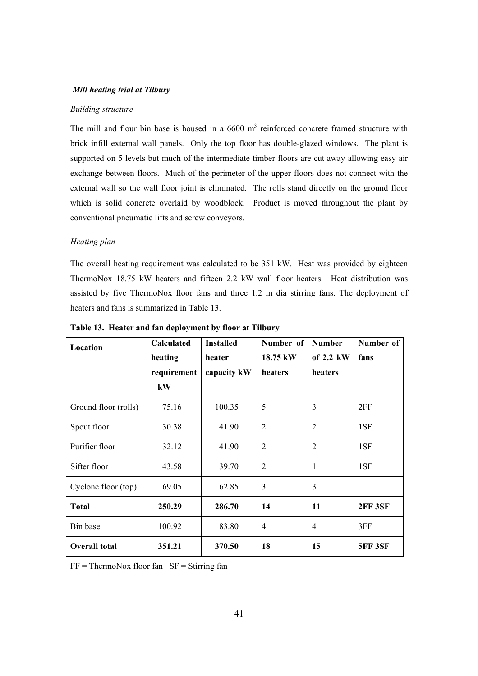#### *Mill heating trial at Tilbury*

#### *Building structure*

The mill and flour bin base is housed in a  $6600 \text{ m}^3$  reinforced concrete framed structure with brick infill external wall panels. Only the top floor has double-glazed windows. The plant is supported on 5 levels but much of the intermediate timber floors are cut away allowing easy air exchange between floors. Much of the perimeter of the upper floors does not connect with the external wall so the wall floor joint is eliminated. The rolls stand directly on the ground floor which is solid concrete overlaid by woodblock. Product is moved throughout the plant by conventional pneumatic lifts and screw conveyors.

# *Heating plan*

The overall heating requirement was calculated to be 351 kW. Heat was provided by eighteen ThermoNox 18.75 kW heaters and fifteen 2.2 kW wall floor heaters. Heat distribution was assisted by five ThermoNox floor fans and three 1.2 m dia stirring fans. The deployment of heaters and fans is summarized in Table 13.

| Location             | <b>Calculated</b> | <b>Installed</b> | Number of      | <b>Number</b>  | Number of      |
|----------------------|-------------------|------------------|----------------|----------------|----------------|
|                      | heating           | heater           | 18.75 kW       | of $2.2$ kW    | fans           |
|                      | requirement<br>kW | capacity kW      | heaters        | heaters        |                |
| Ground floor (rolls) | 75.16             | 100.35           | 5              | 3              | 2FF            |
| Spout floor          | 30.38             | 41.90            | $\overline{2}$ | $\overline{2}$ | 1SF            |
| Purifier floor       | 32.12             | 41.90            | $\overline{2}$ | $\overline{2}$ | 1SF            |
| Sifter floor         | 43.58             | 39.70            | $\overline{2}$ | 1              | 1SF            |
| Cyclone floor (top)  | 69.05             | 62.85            | 3              | 3              |                |
| <b>Total</b>         | 250.29            | 286.70           | 14             | 11             | <b>2FF 3SF</b> |
| Bin base             | 100.92            | 83.80            | $\overline{4}$ | $\overline{4}$ | 3FF            |
| <b>Overall total</b> | 351.21            | 370.50           | 18             | 15             | <b>5FF 3SF</b> |

**Table 13. Heater and fan deployment by floor at Tilbury**

 $FF = Thermolox$  floor fan  $SF = Stirring$  fan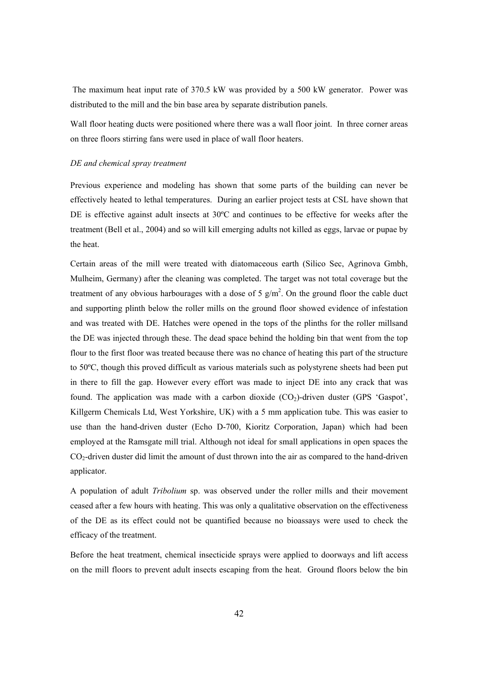The maximum heat input rate of 370.5 kW was provided by a 500 kW generator. Power was distributed to the mill and the bin base area by separate distribution panels.

Wall floor heating ducts were positioned where there was a wall floor joint. In three corner areas on three floors stirring fans were used in place of wall floor heaters.

#### *DE and chemical spray treatment*

Previous experience and modeling has shown that some parts of the building can never be effectively heated to lethal temperatures. During an earlier project tests at CSL have shown that DE is effective against adult insects at 30ºC and continues to be effective for weeks after the treatment (Bell et al., 2004) and so will kill emerging adults not killed as eggs, larvae or pupae by the heat.

Certain areas of the mill were treated with diatomaceous earth (Silico Sec, Agrinova Gmbh, Mulheim, Germany) after the cleaning was completed. The target was not total coverage but the treatment of any obvious harbourages with a dose of 5  $g/m<sup>2</sup>$ . On the ground floor the cable duct and supporting plinth below the roller mills on the ground floor showed evidence of infestation and was treated with DE. Hatches were opened in the tops of the plinths for the roller millsand the DE was injected through these. The dead space behind the holding bin that went from the top flour to the first floor was treated because there was no chance of heating this part of the structure to 50ºC, though this proved difficult as various materials such as polystyrene sheets had been put in there to fill the gap. However every effort was made to inject DE into any crack that was found. The application was made with a carbon dioxide  $(CO<sub>2</sub>)$ -driven duster  $(GPS 'Gaspot',$ Killgerm Chemicals Ltd, West Yorkshire, UK) with a 5 mm application tube. This was easier to use than the hand-driven duster (Echo D-700, Kioritz Corporation, Japan) which had been employed at the Ramsgate mill trial. Although not ideal for small applications in open spaces the  $CO<sub>2</sub>$ -driven duster did limit the amount of dust thrown into the air as compared to the hand-driven applicator.

A population of adult *Tribolium* sp. was observed under the roller mills and their movement ceased after a few hours with heating. This was only a qualitative observation on the effectiveness of the DE as its effect could not be quantified because no bioassays were used to check the efficacy of the treatment.

Before the heat treatment, chemical insecticide sprays were applied to doorways and lift access on the mill floors to prevent adult insects escaping from the heat. Ground floors below the bin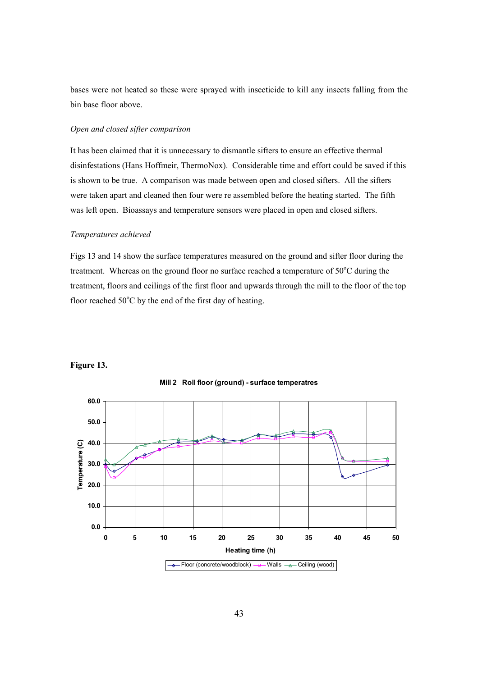bases were not heated so these were sprayed with insecticide to kill any insects falling from the bin base floor above.

# *Open and closed sifter comparison*

It has been claimed that it is unnecessary to dismantle sifters to ensure an effective thermal disinfestations (Hans Hoffmeir, ThermoNox). Considerable time and effort could be saved if this is shown to be true. A comparison was made between open and closed sifters. All the sifters were taken apart and cleaned then four were re assembled before the heating started. The fifth was left open. Bioassays and temperature sensors were placed in open and closed sifters.

#### *Temperatures achieved*

Figs 13 and 14 show the surface temperatures measured on the ground and sifter floor during the treatment. Whereas on the ground floor no surface reached a temperature of  $50^{\circ}$ C during the treatment, floors and ceilings of the first floor and upwards through the mill to the floor of the top floor reached  $50^{\circ}$ C by the end of the first day of heating.



**Figure 13.** 

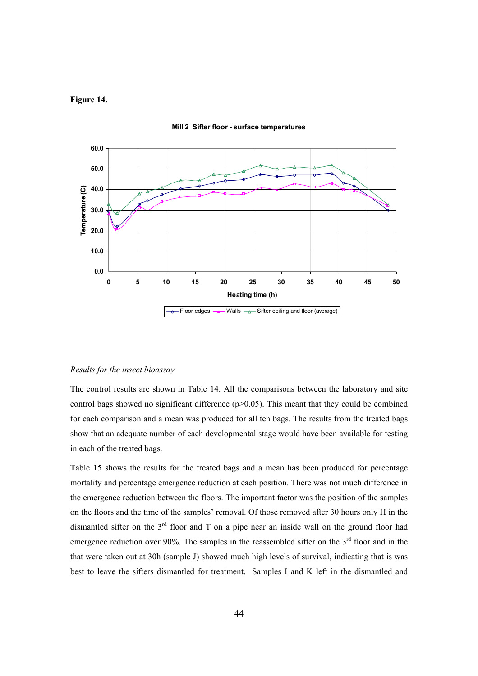# **Figure 14.**



**Mill 2 Sifter floor - surface temperatures**

#### *Results for the insect bioassay*

The control results are shown in Table 14. All the comparisons between the laboratory and site control bags showed no significant difference  $(p>0.05)$ . This meant that they could be combined for each comparison and a mean was produced for all ten bags. The results from the treated bags show that an adequate number of each developmental stage would have been available for testing in each of the treated bags.

Table 15 shows the results for the treated bags and a mean has been produced for percentage mortality and percentage emergence reduction at each position. There was not much difference in the emergence reduction between the floors. The important factor was the position of the samples on the floors and the time of the samples' removal. Of those removed after 30 hours only H in the dismantled sifter on the  $3<sup>rd</sup>$  floor and T on a pipe near an inside wall on the ground floor had emergence reduction over 90%. The samples in the reassembled sifter on the  $3<sup>rd</sup>$  floor and in the that were taken out at 30h (sample J) showed much high levels of survival, indicating that is was best to leave the sifters dismantled for treatment. Samples I and K left in the dismantled and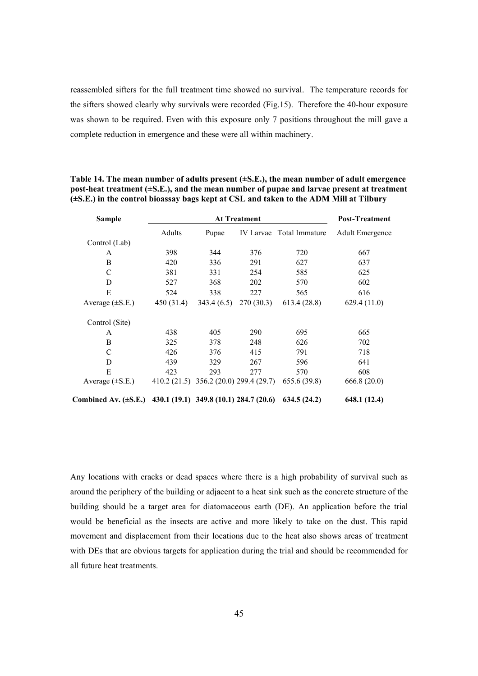reassembled sifters for the full treatment time showed no survival. The temperature records for the sifters showed clearly why survivals were recorded (Fig.15). Therefore the 40-hour exposure was shown to be required. Even with this exposure only 7 positions throughout the mill gave a complete reduction in emergence and these were all within machinery.

| <b>Sample</b>             |            | <b>Post-Treatment</b>                  |           |                          |                        |
|---------------------------|------------|----------------------------------------|-----------|--------------------------|------------------------|
|                           | Adults     | Pupae                                  |           | IV Larvae Total Immature | <b>Adult Emergence</b> |
| Control (Lab)             |            |                                        |           |                          |                        |
| A                         | 398        | 344                                    | 376       | 720                      | 667                    |
| B                         | 420        | 336                                    | 291       | 627                      | 637                    |
| C                         | 381        | 331                                    | 254       | 585                      | 625                    |
| D                         | 527        | 368                                    | 202       | 570                      | 602                    |
| E                         | 524        | 338                                    | 227       | 565                      | 616                    |
| Average $(\pm S.E.)$      | 450 (31.4) | 343.4(6.5)                             | 270(30.3) | 613.4 (28.8)             | 629.4(11.0)            |
| Control (Site)            |            |                                        |           |                          |                        |
| A                         | 438        | 405                                    | 290       | 695                      | 665                    |
| B                         | 325        | 378                                    | 248       | 626                      | 702                    |
| $\mathcal{C}$             | 426        | 376                                    | 415       | 791                      | 718                    |
| D                         | 439        | 329                                    | 267       | 596                      | 641                    |
| E                         | 423        | 293                                    | 277       | 570                      | 608                    |
| Average $(\pm S.E.)$      |            | 410.2 (21.5) 356.2 (20.0) 299.4 (29.7) |           | 655.6(39.8)              | 666.8(20.0)            |
| Combined Av. $(\pm S.E.)$ |            | 430.1 (19.1) 349.8 (10.1) 284.7 (20.6) |           | 634.5(24.2)              | 648.1 (12.4)           |

# **Table 14. The mean number of adults present (±S.E.), the mean number of adult emergence post-heat treatment (±S.E.), and the mean number of pupae and larvae present at treatment (±S.E.) in the control bioassay bags kept at CSL and taken to the ADM Mill at Tilbury**

Any locations with cracks or dead spaces where there is a high probability of survival such as around the periphery of the building or adjacent to a heat sink such as the concrete structure of the building should be a target area for diatomaceous earth (DE). An application before the trial would be beneficial as the insects are active and more likely to take on the dust. This rapid movement and displacement from their locations due to the heat also shows areas of treatment with DEs that are obvious targets for application during the trial and should be recommended for all future heat treatments.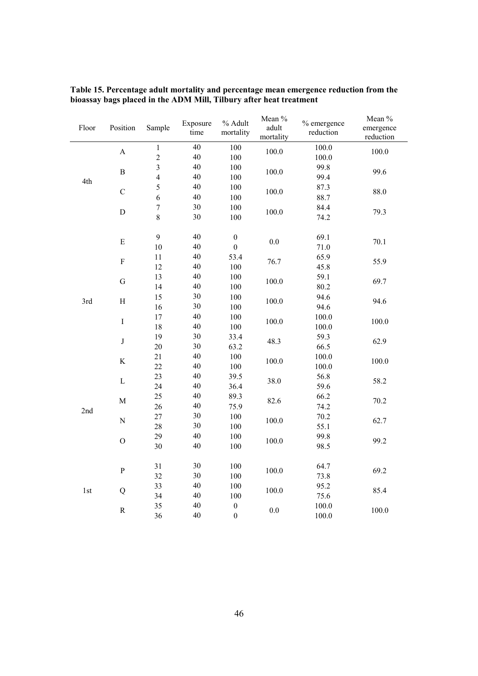| Floor                            | Position                  | Sample           | Exposure<br>time | % Adult<br>mortality | Mean %<br>adult<br>mortality | % emergence<br>reduction | Mean %<br>emergence<br>reduction |
|----------------------------------|---------------------------|------------------|------------------|----------------------|------------------------------|--------------------------|----------------------------------|
|                                  | $\boldsymbol{\mathsf{A}}$ | $\mathbf{1}$     | 40               | 100                  | 100.0                        | 100.0                    | 100.0                            |
|                                  |                           | $\overline{c}$   | 40               | 100                  |                              | 100.0                    |                                  |
|                                  | $\, {\bf B}$              | 3                | 40               | 100                  | 100.0                        | 99.8                     | 99.6                             |
| 4th                              |                           | $\overline{4}$   | 40               | 100                  |                              | 99.4                     |                                  |
|                                  | $\mathcal{C}$             | 5                | 40               | 100                  |                              | 87.3                     |                                  |
|                                  |                           | 6                | 40               | 100                  | 100.0                        | 88.7                     | 88.0                             |
|                                  |                           | $\boldsymbol{7}$ | 30               | 100                  |                              | 84.4                     |                                  |
|                                  | $\mathbf D$               | $\,8\,$          | 30               | 100                  | 100.0                        | 74.2                     | 79.3                             |
|                                  | ${\bf E}$                 | 9                | 40               | $\boldsymbol{0}$     | 0.0                          | 69.1                     | 70.1                             |
|                                  |                           | 10               | 40               | $\boldsymbol{0}$     |                              | 71.0                     |                                  |
|                                  | $\boldsymbol{\mathrm{F}}$ | 11               | 40               | 53.4                 | 76.7                         | 65.9                     | 55.9                             |
|                                  |                           | 12               | 40               | 100                  |                              | 45.8                     |                                  |
|                                  | ${\bf G}$                 | 13               | 40               | 100                  | 100.0                        | 59.1                     | 69.7                             |
|                                  |                           | 14               | 40               | 100                  |                              | 80.2                     |                                  |
| $\boldsymbol{\mathrm{H}}$<br>3rd | 15                        | 30               | 100              | 100.0                | 94.6                         | 94.6                     |                                  |
|                                  |                           | 16               | 30               | 100                  |                              | 94.6                     |                                  |
|                                  | $\rm I$                   | 17               | 40               | 100                  | 100.0                        | 100.0                    | 100.0                            |
|                                  |                           | 18               | 40               | 100                  |                              | 100.0                    |                                  |
|                                  | $\bf J$                   | 19               | 30               | 33.4                 | 48.3                         | 59.3                     | 62.9                             |
|                                  |                           | 20               | 30               | 63.2                 |                              | 66.5                     |                                  |
|                                  | $\rm K$                   | 21               | 40               | 100                  | 100.0                        | 100.0                    | 100.0                            |
|                                  |                           | 22               | 40               | 100                  |                              | 100.0                    |                                  |
|                                  | $\mathbf L$               | 23               | 40               | 39.5                 | 38.0                         | 56.8                     | 58.2                             |
|                                  |                           | 24               | 40               | 36.4                 |                              | 59.6                     |                                  |
|                                  | $\mathbf M$               | 25               | 40               | 89.3                 | 82.6                         | 66.2                     | 70.2                             |
| 2nd                              |                           | 26               | 40               | 75.9                 |                              | 74.2                     |                                  |
|                                  | ${\bf N}$                 | 27               | 30               | 100                  | 100.0                        | 70.2                     | 62.7                             |
|                                  |                           | 28               | 30               | 100                  |                              | 55.1                     |                                  |
|                                  | $\mathcal{O}$             | 29               | 40               | 100                  | 100.0                        | 99.8                     | 99.2                             |
|                                  |                           | 30               | 40               | 100                  |                              | 98.5                     |                                  |
|                                  | ${\bf P}$                 | 31               | 30               | 100                  | 100.0                        | 64.7                     | 69.2                             |
|                                  |                           | 32               | 30               | 100                  |                              | 73.8                     |                                  |
| 1st                              | ${\bf Q}$                 | 33               | 40               | 100                  | 100.0                        | 95.2                     | 85.4                             |
|                                  |                           | 34               | 40               | 100                  |                              | 75.6                     |                                  |
|                                  | ${\bf R}$                 | 35               | 40               | $\boldsymbol{0}$     | $0.0\,$                      | 100.0                    | 100.0                            |
|                                  |                           | 36               | 40               | $\boldsymbol{0}$     |                              | 100.0                    |                                  |

**Table 15. Percentage adult mortality and percentage mean emergence reduction from the bioassay bags placed in the ADM Mill, Tilbury after heat treatment**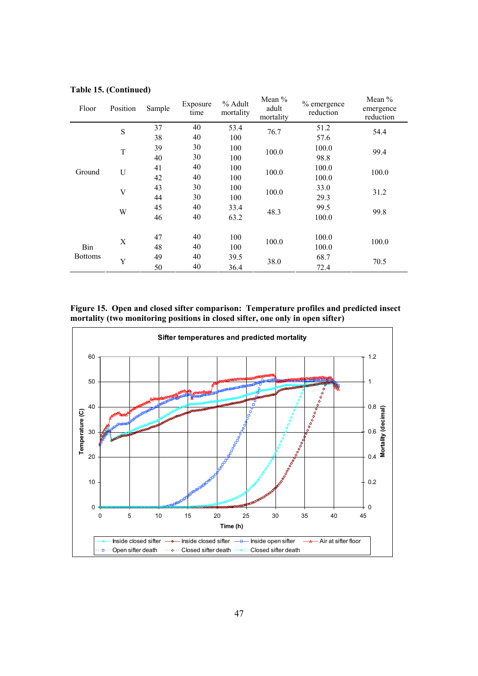| Floor          | Position     | Sample | Exposure<br>time | % Adult<br>mortality | Mean %<br>adult<br>mortality | % emergence<br>reduction | Mean $%$<br>emergence<br>reduction |
|----------------|--------------|--------|------------------|----------------------|------------------------------|--------------------------|------------------------------------|
|                | S            | 37     | 40               | 53.4                 | 76.7                         | 51.2                     | 54.4                               |
|                |              | 38     | 40               | 100                  |                              | 57.6                     |                                    |
|                | T            | 39     | 30               | 100                  | 100.0                        | 100.0                    | 99.4                               |
|                |              | 40     | 30               | 100                  |                              | 98.8                     |                                    |
| U<br>Ground    |              | 41     | 40               | 100                  | 100.0                        | 100.0                    | 100.0                              |
|                |              | 42     | 40               | 100                  |                              | 100.0                    |                                    |
|                | $\mathbf{V}$ | 43     | 30               | 100                  | 100.0                        | 33.0                     | 31.2                               |
|                |              | 44     | 30               | 100                  |                              | 29.3                     |                                    |
| W              |              | 45     | 40               | 33.4                 | 48.3                         | 99.5                     | 99.8                               |
|                |              | 46     | 40               | 63.2                 |                              | 100.0                    |                                    |
|                |              | 47     | 40               | 100                  |                              | 100.0                    |                                    |
| Bin            | X            | 48     | 40               | 100                  | 100.0                        | 100.0                    | 100.0                              |
| <b>Bottoms</b> | Y            | 49     | 40               | 39.5                 |                              | 68.7                     | 70.5                               |
|                |              | 50     | 40               | 36.4                 | 38.0                         | 72.4                     |                                    |

# **Table 15. (Continued)**

**Figure 15. Open and closed sifter comparison: Temperature profiles and predicted insect mortality (two monitoring positions in closed sifter, one only in open sifter)** 

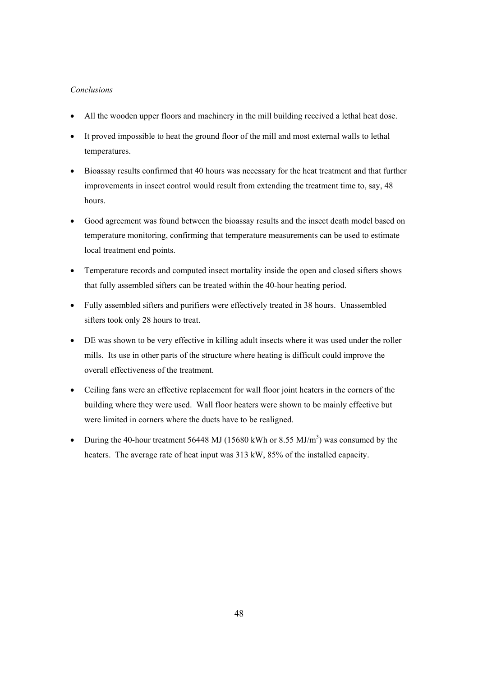# *Conclusions*

- All the wooden upper floors and machinery in the mill building received a lethal heat dose.
- It proved impossible to heat the ground floor of the mill and most external walls to lethal temperatures.
- Bioassay results confirmed that 40 hours was necessary for the heat treatment and that further improvements in insect control would result from extending the treatment time to, say, 48 hours.
- Good agreement was found between the bioassay results and the insect death model based on temperature monitoring, confirming that temperature measurements can be used to estimate local treatment end points.
- Temperature records and computed insect mortality inside the open and closed sifters shows that fully assembled sifters can be treated within the 40-hour heating period.
- Fully assembled sifters and purifiers were effectively treated in 38 hours. Unassembled sifters took only 28 hours to treat.
- DE was shown to be very effective in killing adult insects where it was used under the roller mills. Its use in other parts of the structure where heating is difficult could improve the overall effectiveness of the treatment.
- Ceiling fans were an effective replacement for wall floor joint heaters in the corners of the building where they were used. Wall floor heaters were shown to be mainly effective but were limited in corners where the ducts have to be realigned.
- During the 40-hour treatment 56448 MJ (15680 kWh or 8.55 MJ/m<sup>3</sup>) was consumed by the heaters. The average rate of heat input was 313 kW, 85% of the installed capacity.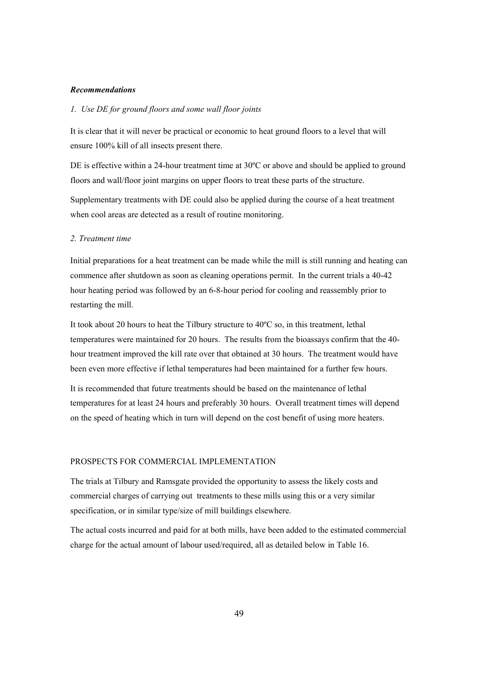#### *Recommendations*

# *1. Use DE for ground floors and some wall floor joints*

It is clear that it will never be practical or economic to heat ground floors to a level that will ensure 100% kill of all insects present there.

DE is effective within a 24-hour treatment time at 30<sup>o</sup>C or above and should be applied to ground floors and wall/floor joint margins on upper floors to treat these parts of the structure.

Supplementary treatments with DE could also be applied during the course of a heat treatment when cool areas are detected as a result of routine monitoring.

#### *2. Treatment time*

Initial preparations for a heat treatment can be made while the mill is still running and heating can commence after shutdown as soon as cleaning operations permit. In the current trials a 40-42 hour heating period was followed by an 6-8-hour period for cooling and reassembly prior to restarting the mill.

It took about 20 hours to heat the Tilbury structure to 40ºC so, in this treatment, lethal temperatures were maintained for 20 hours. The results from the bioassays confirm that the 40 hour treatment improved the kill rate over that obtained at 30 hours. The treatment would have been even more effective if lethal temperatures had been maintained for a further few hours.

It is recommended that future treatments should be based on the maintenance of lethal temperatures for at least 24 hours and preferably 30 hours. Overall treatment times will depend on the speed of heating which in turn will depend on the cost benefit of using more heaters.

# PROSPECTS FOR COMMERCIAL IMPLEMENTATION

The trials at Tilbury and Ramsgate provided the opportunity to assess the likely costs and commercial charges of carrying out treatments to these mills using this or a very similar specification, or in similar type/size of mill buildings elsewhere.

The actual costs incurred and paid for at both mills, have been added to the estimated commercial charge for the actual amount of labour used/required, all as detailed below in Table 16.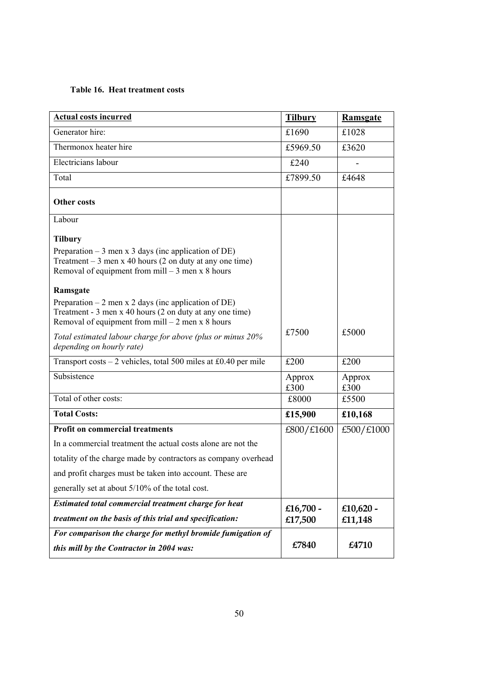# **Table 16. Heat treatment costs**

| <b>Actual costs incurred</b>                                                                                                                                                                                                                                                                                                                                                                                                                                                | <b>Tilbury</b> | <b>Ramsgate</b> |
|-----------------------------------------------------------------------------------------------------------------------------------------------------------------------------------------------------------------------------------------------------------------------------------------------------------------------------------------------------------------------------------------------------------------------------------------------------------------------------|----------------|-----------------|
| Generator hire:                                                                                                                                                                                                                                                                                                                                                                                                                                                             | £1690          | £1028           |
| Thermonox heater hire                                                                                                                                                                                                                                                                                                                                                                                                                                                       | £5969.50       | £3620           |
| Electricians labour                                                                                                                                                                                                                                                                                                                                                                                                                                                         | £240           |                 |
| Total                                                                                                                                                                                                                                                                                                                                                                                                                                                                       | £7899.50       | £4648           |
| <b>Other costs</b>                                                                                                                                                                                                                                                                                                                                                                                                                                                          |                |                 |
| Labour                                                                                                                                                                                                                                                                                                                                                                                                                                                                      |                |                 |
| <b>Tilbury</b><br>Preparation $-3$ men x 3 days (inc application of DE)<br>Treatment $-3$ men x 40 hours (2 on duty at any one time)<br>Removal of equipment from mill $-3$ men x 8 hours<br>Ramsgate<br>Preparation $-2$ men x 2 days (inc application of DE)<br>Treatment - 3 men x 40 hours (2 on duty at any one time)<br>Removal of equipment from $mill - 2$ men x 8 hours<br>Total estimated labour charge for above (plus or minus 20%<br>depending on hourly rate) | £7500          | £5000           |
| Transport costs $-2$ vehicles, total 500 miles at £0.40 per mile                                                                                                                                                                                                                                                                                                                                                                                                            | £200           | £200            |
| Subsistence                                                                                                                                                                                                                                                                                                                                                                                                                                                                 | Approx<br>£300 | Approx<br>£300  |
| Total of other costs:                                                                                                                                                                                                                                                                                                                                                                                                                                                       | £8000          | £5500           |
| <b>Total Costs:</b>                                                                                                                                                                                                                                                                                                                                                                                                                                                         | £15,900        | £10,168         |
| <b>Profit on commercial treatments</b>                                                                                                                                                                                                                                                                                                                                                                                                                                      | £800/£1600     | £500/£1000      |
| In a commercial treatment the actual costs alone are not the                                                                                                                                                                                                                                                                                                                                                                                                                |                |                 |
| totality of the charge made by contractors as company overhead                                                                                                                                                                                                                                                                                                                                                                                                              |                |                 |
| and profit charges must be taken into account. These are                                                                                                                                                                                                                                                                                                                                                                                                                    |                |                 |
| generally set at about 5/10% of the total cost.                                                                                                                                                                                                                                                                                                                                                                                                                             |                |                 |
| Estimated total commercial treatment charge for heat                                                                                                                                                                                                                                                                                                                                                                                                                        | £16,700 -      | £10,620 -       |
| treatment on the basis of this trial and specification:                                                                                                                                                                                                                                                                                                                                                                                                                     | £17,500        | £11,148         |
| For comparison the charge for methyl bromide fumigation of                                                                                                                                                                                                                                                                                                                                                                                                                  |                |                 |
| this mill by the Contractor in 2004 was:                                                                                                                                                                                                                                                                                                                                                                                                                                    | £7840          | £4710           |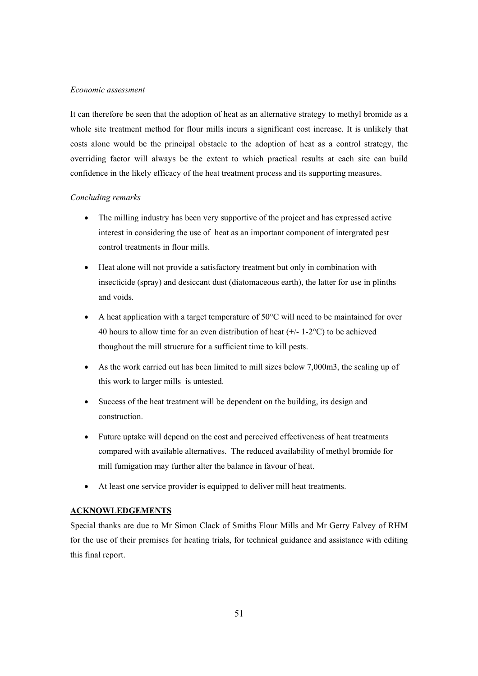#### *Economic assessment*

It can therefore be seen that the adoption of heat as an alternative strategy to methyl bromide as a whole site treatment method for flour mills incurs a significant cost increase. It is unlikely that costs alone would be the principal obstacle to the adoption of heat as a control strategy, the overriding factor will always be the extent to which practical results at each site can build confidence in the likely efficacy of the heat treatment process and its supporting measures.

# *Concluding remarks*

- The milling industry has been very supportive of the project and has expressed active interest in considering the use of heat as an important component of intergrated pest control treatments in flour mills.
- Heat alone will not provide a satisfactory treatment but only in combination with insecticide (spray) and desiccant dust (diatomaceous earth), the latter for use in plinths and voids.
- A heat application with a target temperature of 50°C will need to be maintained for over 40 hours to allow time for an even distribution of heat  $(+/- 1-2°C)$  to be achieved thoughout the mill structure for a sufficient time to kill pests.
- As the work carried out has been limited to mill sizes below 7,000 m3, the scaling up of this work to larger mills is untested.
- Success of the heat treatment will be dependent on the building, its design and construction.
- Future uptake will depend on the cost and perceived effectiveness of heat treatments compared with available alternatives. The reduced availability of methyl bromide for mill fumigation may further alter the balance in favour of heat.
- At least one service provider is equipped to deliver mill heat treatments.

# **ACKNOWLEDGEMENTS**

Special thanks are due to Mr Simon Clack of Smiths Flour Mills and Mr Gerry Falvey of RHM for the use of their premises for heating trials, for technical guidance and assistance with editing this final report.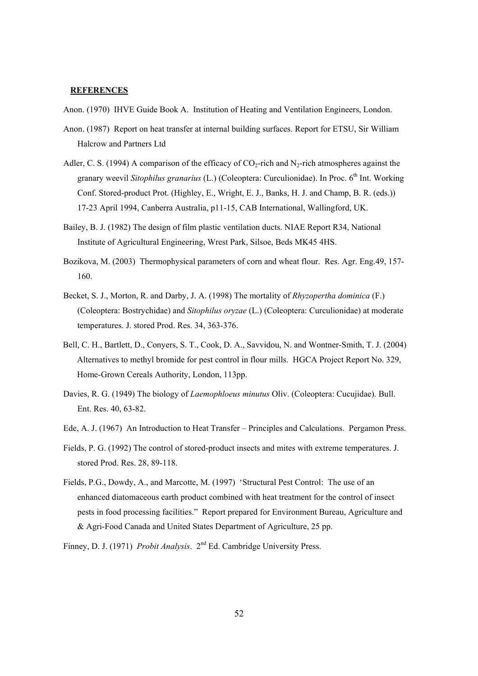#### **REFERENCES**

Anon. (1970) IHVE Guide Book A. Institution of Heating and Ventilation Engineers, London.

- Anon. (1987) Report on heat transfer at internal building surfaces. Report for ETSU, Sir William Halcrow and Partners Ltd
- Adler, C. S. (1994) A comparison of the efficacy of  $CO<sub>2</sub>$ -rich and N<sub>2</sub>-rich atmospheres against the granary weevil *Sitophilus granarius* (L.) (Coleoptera: Curculionidae). In Proc. 6<sup>th</sup> Int. Working Conf. Stored-product Prot. (Highley, E., Wright, E. J., Banks, H. J. and Champ, B. R. (eds.)) 17-23 April 1994, Canberra Australia, p11-15, CAB International, Wallingford, UK.
- Bailey, B. J. (1982) The design of film plastic ventilation ducts. NIAE Report R34, National Institute of Agricultural Engineering, Wrest Park, Silsoe, Beds MK45 4HS.
- Bozikova, M. (2003) Thermophysical parameters of corn and wheat flour. Res. Agr. Eng.49, 157- 160.
- Becket, S. J., Morton, R. and Darby, J. A. (1998) The mortality of *Rhyzopertha dominica* (F.) (Coleoptera: Bostrychidae) and *Sitophilus oryzae* (L.) (Coleoptera: Curculionidae) at moderate temperatures. J. stored Prod. Res. 34, 363-376.
- Bell, C. H., Bartlett, D., Conyers, S. T., Cook, D. A., Savvidou, N. and Wontner-Smith, T. J. (2004) Alternatives to methyl bromide for pest control in flour mills. HGCA Project Report No. 329, Home-Grown Cereals Authority, London, 113pp.
- Davies, R. G. (1949) The biology of *Laemophloeus minutus* Oliv. (Coleoptera: Cucujidae). Bull. Ent. Res. 40, 63-82.
- Ede, A. J. (1967) An Introduction to Heat Transfer Principles and Calculations. Pergamon Press.
- Fields, P. G. (1992) The control of stored-product insects and mites with extreme temperatures. J. stored Prod. Res. 28, 89-118.
- Fields, P.G., Dowdy, A., and Marcotte, M. (1997) 'Structural Pest Control: The use of an enhanced diatomaceous earth product combined with heat treatment for the control of insect pests in food processing facilities." Report prepared for Environment Bureau, Agriculture and & Agri-Food Canada and United States Department of Agriculture, 25 pp.
- Finney, D. J. (1971) *Probit Analysis*. 2<sup>nd</sup> Ed. Cambridge University Press.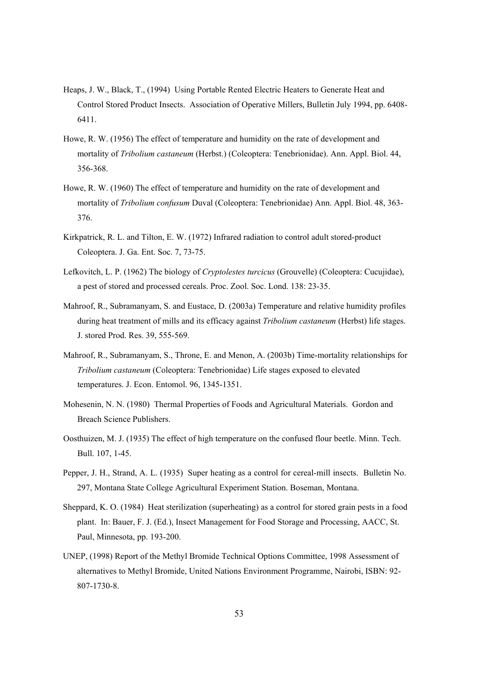- Heaps, J. W., Black, T., (1994) Using Portable Rented Electric Heaters to Generate Heat and Control Stored Product Insects. Association of Operative Millers, Bulletin July 1994, pp. 6408- 6411.
- Howe, R. W. (1956) The effect of temperature and humidity on the rate of development and mortality of *Tribolium castaneum* (Herbst.) (Coleoptera: Tenebrionidae). Ann. Appl. Biol. 44, 356-368.
- Howe, R. W. (1960) The effect of temperature and humidity on the rate of development and mortality of *Tribolium confusum* Duval (Coleoptera: Tenebrionidae) Ann. Appl. Biol. 48, 363- 376.
- Kirkpatrick, R. L. and Tilton, E. W. (1972) Infrared radiation to control adult stored-product Coleoptera. J. Ga. Ent. Soc. 7, 73-75.
- Lefkovitch, L. P. (1962) The biology of *Cryptolestes turcicus* (Grouvelle) (Coleoptera: Cucujidae), a pest of stored and processed cereals. Proc. Zool. Soc. Lond. 138: 23-35.
- Mahroof, R., Subramanyam, S. and Eustace, D. (2003a) Temperature and relative humidity profiles during heat treatment of mills and its efficacy against *Tribolium castaneum* (Herbst) life stages. J. stored Prod. Res. 39, 555-569.
- Mahroof, R., Subramanyam, S., Throne, E. and Menon, A. (2003b) Time-mortality relationships for *Tribolium castaneum* (Coleoptera: Tenebrionidae) Life stages exposed to elevated temperatures. J. Econ. Entomol. 96, 1345-1351.
- Mohesenin, N. N. (1980) Thermal Properties of Foods and Agricultural Materials. Gordon and Breach Science Publishers.
- Oosthuizen, M. J. (1935) The effect of high temperature on the confused flour beetle. Minn. Tech. Bull. 107, 1-45.
- Pepper, J. H., Strand, A. L. (1935) Super heating as a control for cereal-mill insects. Bulletin No. 297, Montana State College Agricultural Experiment Station. Boseman, Montana.
- Sheppard, K. O. (1984) Heat sterilization (superheating) as a control for stored grain pests in a food plant. In: Bauer, F. J. (Ed.), Insect Management for Food Storage and Processing, AACC, St. Paul, Minnesota, pp. 193-200.
- UNEP, (1998) Report of the Methyl Bromide Technical Options Committee, 1998 Assessment of alternatives to Methyl Bromide, United Nations Environment Programme, Nairobi, ISBN: 92- 807-1730-8.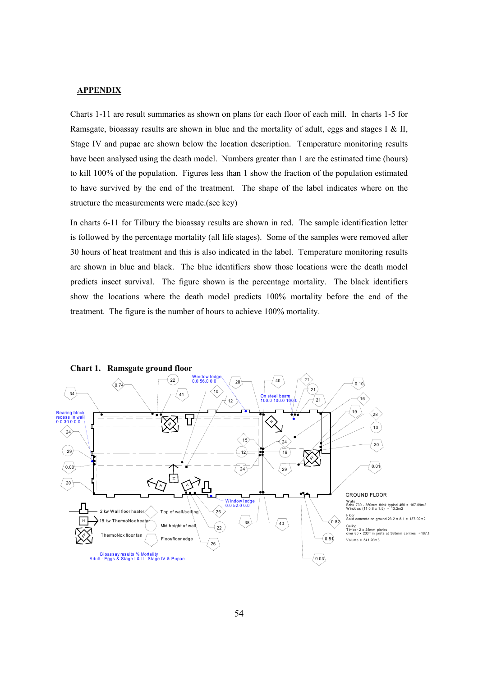#### **APPENDIX**

Charts 1-11 are result summaries as shown on plans for each floor of each mill. In charts 1-5 for Ramsgate, bioassay results are shown in blue and the mortality of adult, eggs and stages I & II, Stage IV and pupae are shown below the location description. Temperature monitoring results have been analysed using the death model. Numbers greater than 1 are the estimated time (hours) to kill 100% of the population. Figures less than 1 show the fraction of the population estimated to have survived by the end of the treatment. The shape of the label indicates where on the structure the measurements were made.(see key)

In charts 6-11 for Tilbury the bioassay results are shown in red. The sample identification letter is followed by the percentage mortality (all life stages). Some of the samples were removed after 30 hours of heat treatment and this is also indicated in the label. Temperature monitoring results are shown in blue and black. The blue identifiers show those locations were the death model predicts insect survival. The figure shown is the percentage mortality. The black identifiers show the locations where the death model predicts 100% mortality before the end of the treatment. The figure is the number of hours to achieve 100% mortality.



**Chart 1. Ramsgate ground floor**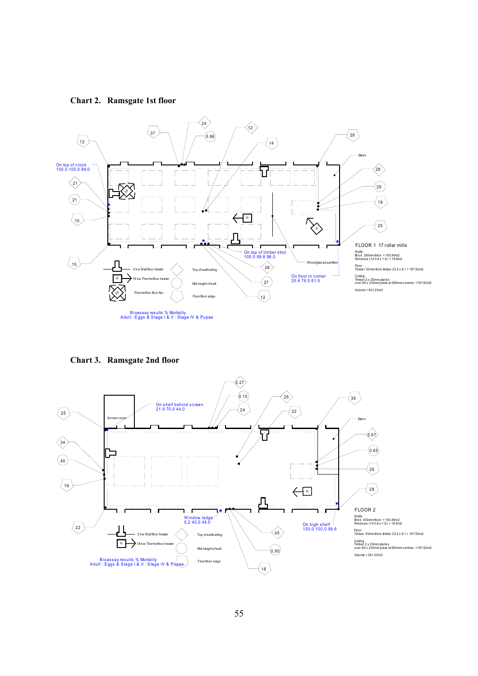**Chart 2. Ramsgate 1st floor** 



**Chart 3. Ramsgate 2nd floor** 

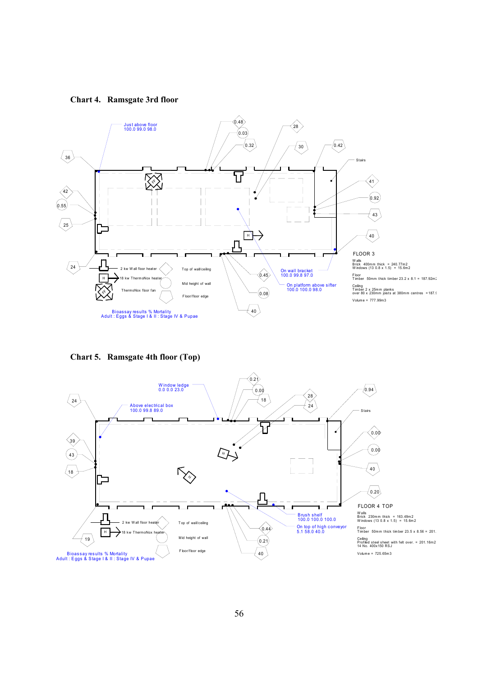**Chart 4. Ramsgate 3rd floor** 



**Chart 5. Ramsgate 4th floor (Top)** 

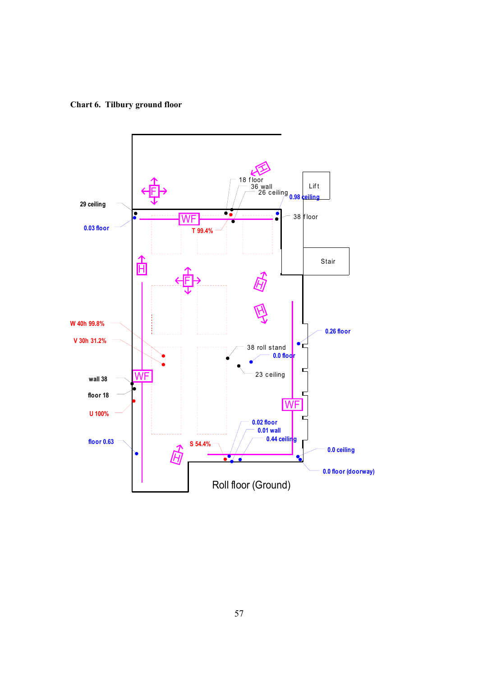**Chart 6. Tilbury ground floor** 

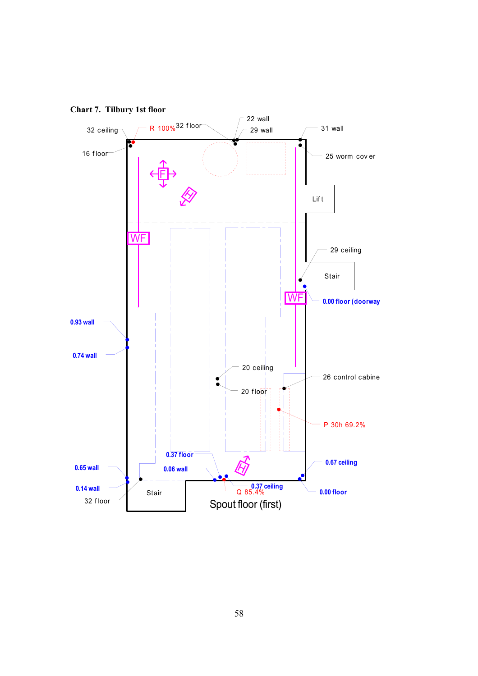

**Chart 7. Tilbury 1st floor**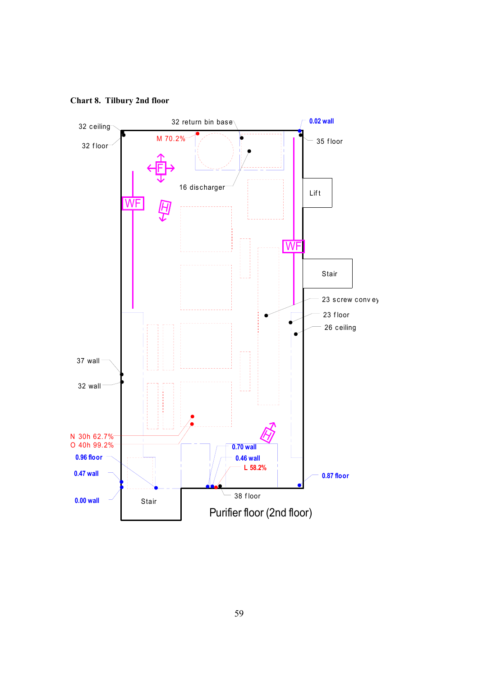

**Chart 8. Tilbury 2nd floor**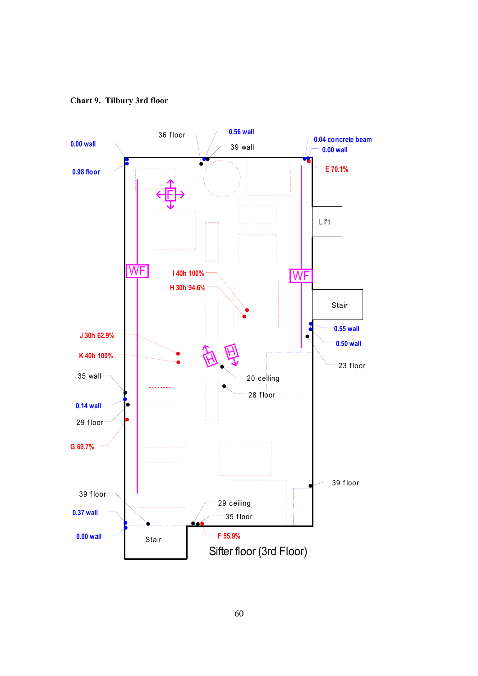**Chart 9. Tilbury 3rd floor** 

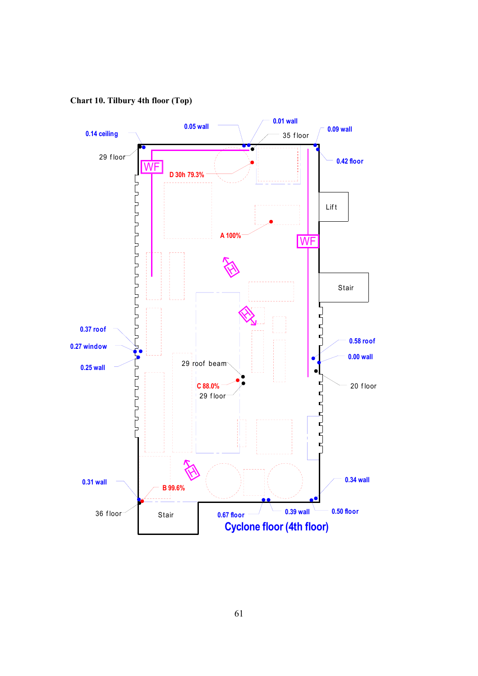**Chart 10. Tilbury 4th floor (Top)**